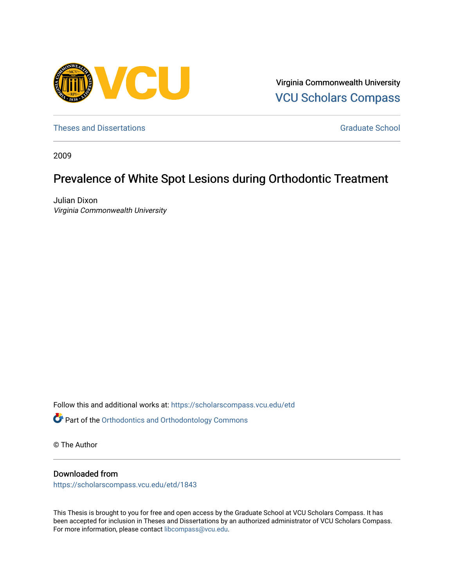

Virginia Commonwealth University [VCU Scholars Compass](https://scholarscompass.vcu.edu/) 

[Theses and Dissertations](https://scholarscompass.vcu.edu/etd) [Graduate School](https://scholarscompass.vcu.edu/gradschool) and Dissertations Graduate School and Dissertations Graduate School and Dissertations Graduate School and Dissertations Graduate School and Dissertations Graduate School and Dissert

2009

# Prevalence of White Spot Lesions during Orthodontic Treatment

Julian Dixon Virginia Commonwealth University

Follow this and additional works at: [https://scholarscompass.vcu.edu/etd](https://scholarscompass.vcu.edu/etd?utm_source=scholarscompass.vcu.edu%2Fetd%2F1843&utm_medium=PDF&utm_campaign=PDFCoverPages)  Part of the [Orthodontics and Orthodontology Commons](http://network.bepress.com/hgg/discipline/657?utm_source=scholarscompass.vcu.edu%2Fetd%2F1843&utm_medium=PDF&utm_campaign=PDFCoverPages)

© The Author

#### Downloaded from

[https://scholarscompass.vcu.edu/etd/1843](https://scholarscompass.vcu.edu/etd/1843?utm_source=scholarscompass.vcu.edu%2Fetd%2F1843&utm_medium=PDF&utm_campaign=PDFCoverPages) 

This Thesis is brought to you for free and open access by the Graduate School at VCU Scholars Compass. It has been accepted for inclusion in Theses and Dissertations by an authorized administrator of VCU Scholars Compass. For more information, please contact [libcompass@vcu.edu](mailto:libcompass@vcu.edu).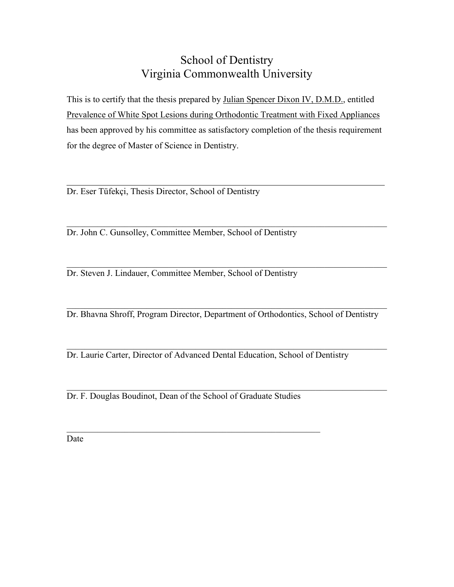# School of Dentistry Virginia Commonwealth University

This is to certify that the thesis prepared by Julian Spencer Dixon IV, D.M.D., entitled Prevalence of White Spot Lesions during Orthodontic Treatment with Fixed Appliances has been approved by his committee as satisfactory completion of the thesis requirement for the degree of Master of Science in Dentistry.

.

Dr. Eser Tüfekçi, Thesis Director, School of Dentistry

 $\_$  , and the contribution of the contribution of  $\mathcal{L}_\mathcal{A}$  , and the contribution of  $\mathcal{L}_\mathcal{A}$ Dr. John C. Gunsolley, Committee Member, School of Dentistry

 $\_$  , and the contribution of the contribution of  $\mathcal{L}_\mathcal{A}$  , and the contribution of  $\mathcal{L}_\mathcal{A}$ Dr. Steven J. Lindauer, Committee Member, School of Dentistry

 $\_$  , and the contribution of the contribution of  $\mathcal{L}_\mathcal{A}$  , and the contribution of  $\mathcal{L}_\mathcal{A}$ Dr. Bhavna Shroff, Program Director, Department of Orthodontics, School of Dentistry

 $\_$  , and the set of the set of the set of the set of the set of the set of the set of the set of the set of the set of the set of the set of the set of the set of the set of the set of the set of the set of the set of th

 $\_$  , and the set of the set of the set of the set of the set of the set of the set of the set of the set of the set of the set of the set of the set of the set of the set of the set of the set of the set of the set of th

Dr. Laurie Carter, Director of Advanced Dental Education, School of Dentistry

Dr. F. Douglas Boudinot, Dean of the School of Graduate Studies

\_\_\_\_\_\_\_\_\_\_\_\_\_\_\_\_\_\_\_\_\_\_\_\_\_\_\_\_\_\_\_\_\_\_\_\_\_\_\_\_\_\_\_\_\_\_\_\_\_\_\_\_\_\_\_\_\_

Date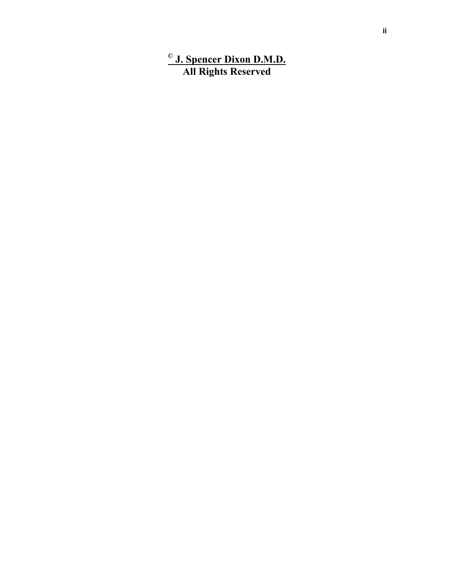## **© J. Spencer Dixon D.M.D. All Rights Reserved**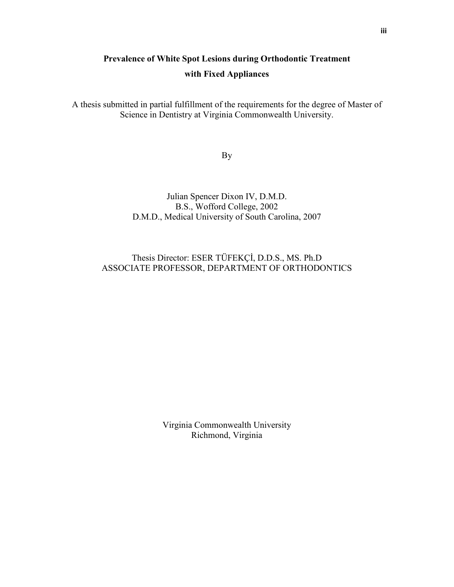# **Prevalence of White Spot Lesions during Orthodontic Treatment with Fixed Appliances**

A thesis submitted in partial fulfillment of the requirements for the degree of Master of Science in Dentistry at Virginia Commonwealth University.

By

### Julian Spencer Dixon IV, D.M.D. B.S., Wofford College, 2002 D.M.D., Medical University of South Carolina, 2007

## Thesis Director: ESER TÜFEKÇİ, D.D.S., MS. Ph.D ASSOCIATE PROFESSOR, DEPARTMENT OF ORTHODONTICS

Virginia Commonwealth University Richmond, Virginia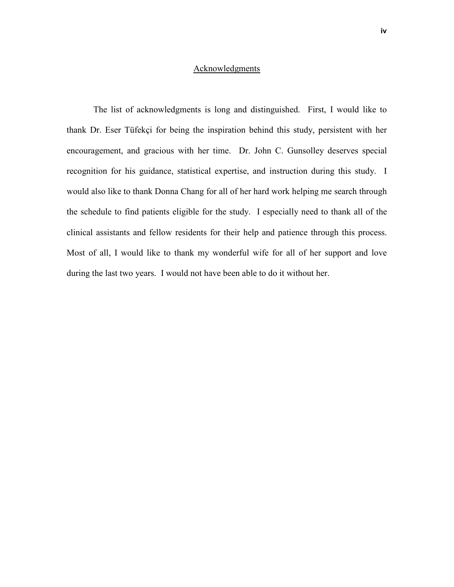#### Acknowledgments

The list of acknowledgments is long and distinguished. First, I would like to thank Dr. Eser Tüfekçi for being the inspiration behind this study, persistent with her encouragement, and gracious with her time. Dr. John C. Gunsolley deserves special recognition for his guidance, statistical expertise, and instruction during this study. I would also like to thank Donna Chang for all of her hard work helping me search through the schedule to find patients eligible for the study. I especially need to thank all of the clinical assistants and fellow residents for their help and patience through this process. Most of all, I would like to thank my wonderful wife for all of her support and love during the last two years. I would not have been able to do it without her.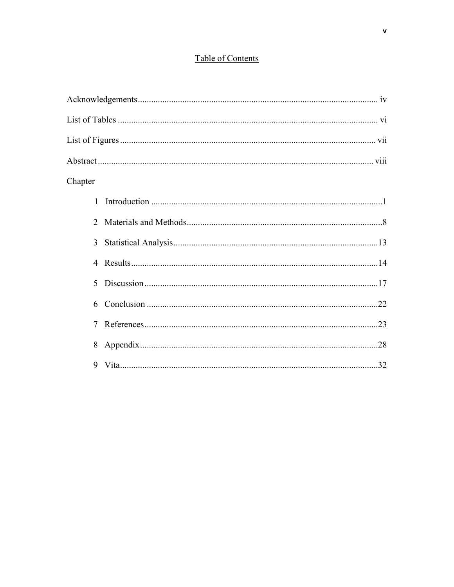## Table of Contents

| Chapter        |  |  |  |  |
|----------------|--|--|--|--|
|                |  |  |  |  |
| $\overline{2}$ |  |  |  |  |
|                |  |  |  |  |
| $\overline{4}$ |  |  |  |  |
| $\mathcal{F}$  |  |  |  |  |
| 6              |  |  |  |  |
| 7              |  |  |  |  |
| 8              |  |  |  |  |
|                |  |  |  |  |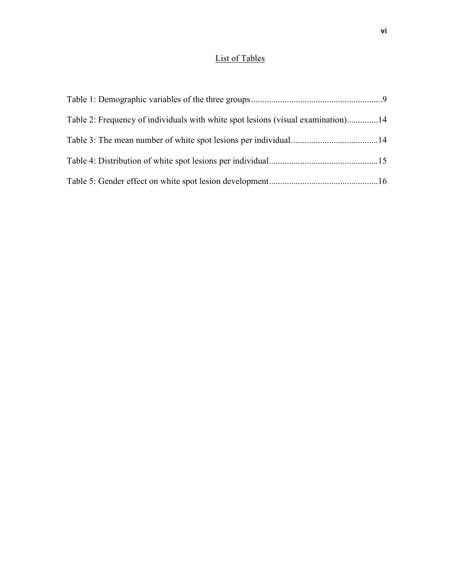## List of Tables

| Table 2: Frequency of individuals with white spot lesions (visual examination)14 |  |
|----------------------------------------------------------------------------------|--|
|                                                                                  |  |
|                                                                                  |  |
|                                                                                  |  |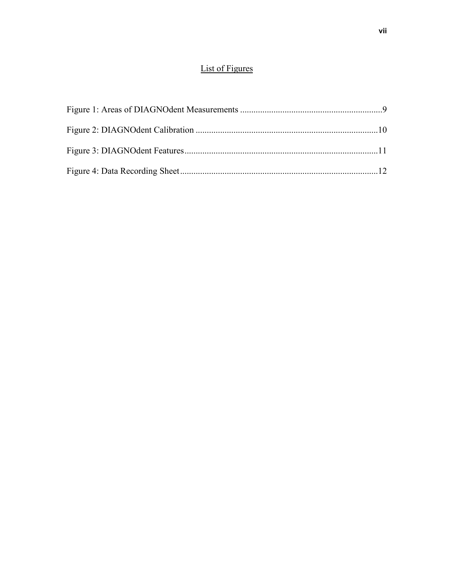## List of Figures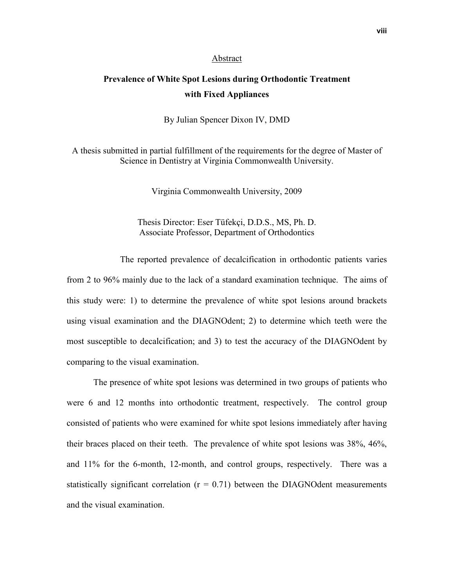#### Abstract

## **Prevalence of White Spot Lesions during Orthodontic Treatment with Fixed Appliances**

By Julian Spencer Dixon IV, DMD

A thesis submitted in partial fulfillment of the requirements for the degree of Master of Science in Dentistry at Virginia Commonwealth University.

Virginia Commonwealth University, 2009

Thesis Director: Eser Tüfekçi, D.D.S., MS, Ph. D. Associate Professor, Department of Orthodontics

 The reported prevalence of decalcification in orthodontic patients varies from 2 to 96% mainly due to the lack of a standard examination technique. The aims of this study were: 1) to determine the prevalence of white spot lesions around brackets using visual examination and the DIAGNOdent; 2) to determine which teeth were the most susceptible to decalcification; and 3) to test the accuracy of the DIAGNOdent by comparing to the visual examination.

The presence of white spot lesions was determined in two groups of patients who were 6 and 12 months into orthodontic treatment, respectively. The control group consisted of patients who were examined for white spot lesions immediately after having their braces placed on their teeth. The prevalence of white spot lesions was 38%, 46%, and 11% for the 6-month, 12-month, and control groups, respectively. There was a statistically significant correlation  $(r = 0.71)$  between the DIAGNOdent measurements and the visual examination.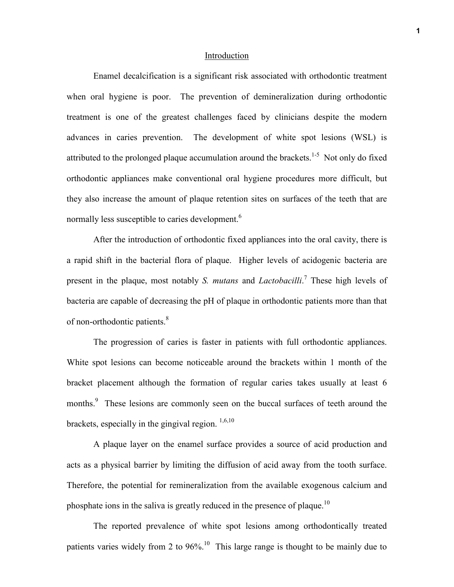#### Introduction

Enamel decalcification is a significant risk associated with orthodontic treatment when oral hygiene is poor. The prevention of demineralization during orthodontic treatment is one of the greatest challenges faced by clinicians despite the modern advances in caries prevention. The development of white spot lesions (WSL) is attributed to the prolonged plaque accumulation around the brackets.<sup>1-5</sup> Not only do fixed orthodontic appliances make conventional oral hygiene procedures more difficult, but they also increase the amount of plaque retention sites on surfaces of the teeth that are normally less susceptible to caries development.<sup>6</sup>

After the introduction of orthodontic fixed appliances into the oral cavity, there is a rapid shift in the bacterial flora of plaque. Higher levels of acidogenic bacteria are present in the plaque, most notably *S. mutans* and *Lactobacilli*. 7 These high levels of bacteria are capable of decreasing the pH of plaque in orthodontic patients more than that of non-orthodontic patients.<sup>8</sup>

The progression of caries is faster in patients with full orthodontic appliances. White spot lesions can become noticeable around the brackets within 1 month of the bracket placement although the formation of regular caries takes usually at least 6 months.<sup>9</sup> These lesions are commonly seen on the buccal surfaces of teeth around the brackets, especially in the gingival region.  $^{1,6,10}$ 

A plaque layer on the enamel surface provides a source of acid production and acts as a physical barrier by limiting the diffusion of acid away from the tooth surface. Therefore, the potential for remineralization from the available exogenous calcium and phosphate ions in the saliva is greatly reduced in the presence of plaque.<sup>10</sup>

The reported prevalence of white spot lesions among orthodontically treated patients varies widely from 2 to 96%.<sup>10</sup> This large range is thought to be mainly due to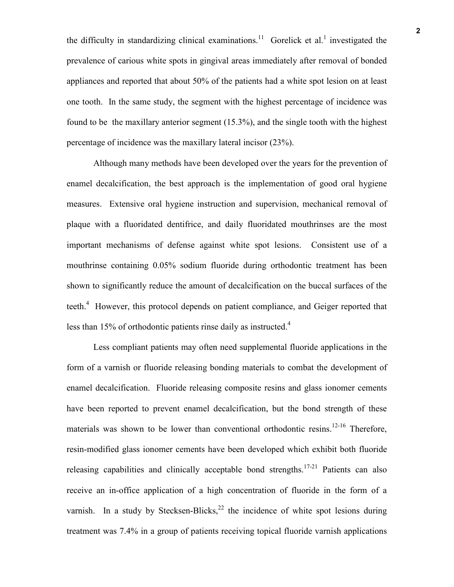the difficulty in standardizing clinical examinations.<sup>11</sup> Gorelick et al.<sup>1</sup> investigated the prevalence of carious white spots in gingival areas immediately after removal of bonded appliances and reported that about 50% of the patients had a white spot lesion on at least one tooth. In the same study, the segment with the highest percentage of incidence was found to be the maxillary anterior segment (15.3%), and the single tooth with the highest percentage of incidence was the maxillary lateral incisor (23%).

 Although many methods have been developed over the years for the prevention of enamel decalcification, the best approach is the implementation of good oral hygiene measures. Extensive oral hygiene instruction and supervision, mechanical removal of plaque with a fluoridated dentifrice, and daily fluoridated mouthrinses are the most important mechanisms of defense against white spot lesions. Consistent use of a mouthrinse containing 0.05% sodium fluoride during orthodontic treatment has been shown to significantly reduce the amount of decalcification on the buccal surfaces of the teeth.<sup>4</sup> However, this protocol depends on patient compliance, and Geiger reported that less than 15% of orthodontic patients rinse daily as instructed.<sup>4</sup>

Less compliant patients may often need supplemental fluoride applications in the form of a varnish or fluoride releasing bonding materials to combat the development of enamel decalcification. Fluoride releasing composite resins and glass ionomer cements have been reported to prevent enamel decalcification, but the bond strength of these materials was shown to be lower than conventional orthodontic resins.<sup>12-16</sup> Therefore, resin-modified glass ionomer cements have been developed which exhibit both fluoride releasing capabilities and clinically acceptable bond strengths.<sup>17-21</sup> Patients can also receive an in-office application of a high concentration of fluoride in the form of a varnish. In a study by Stecksen-Blicks,  $^{22}$  the incidence of white spot lesions during treatment was 7.4% in a group of patients receiving topical fluoride varnish applications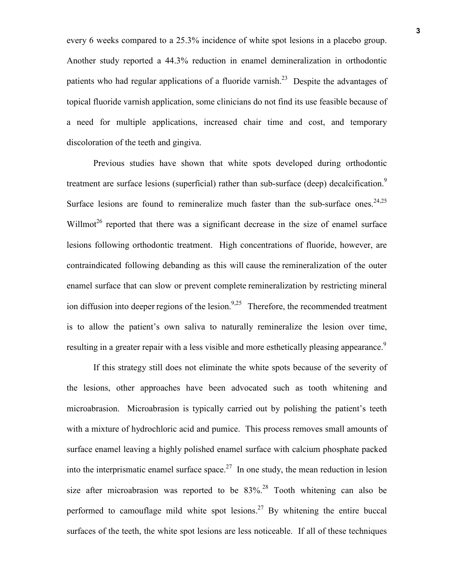every 6 weeks compared to a 25.3% incidence of white spot lesions in a placebo group. Another study reported a 44.3% reduction in enamel demineralization in orthodontic patients who had regular applications of a fluoride varnish.<sup>23</sup> Despite the advantages of topical fluoride varnish application, some clinicians do not find its use feasible because of a need for multiple applications, increased chair time and cost, and temporary discoloration of the teeth and gingiva.

Previous studies have shown that white spots developed during orthodontic treatment are surface lesions (superficial) rather than sub-surface (deep) decalcification.<sup>9</sup> Surface lesions are found to remineralize much faster than the sub-surface ones.<sup>24,25</sup> Willmot<sup>26</sup> reported that there was a significant decrease in the size of enamel surface lesions following orthodontic treatment. High concentrations of fluoride, however, are contraindicated following debanding as this will cause the remineralization of the outer enamel surface that can slow or prevent complete remineralization by restricting mineral ion diffusion into deeper regions of the lesion.<sup>9,25</sup> Therefore, the recommended treatment is to allow the patient's own saliva to naturally remineralize the lesion over time, resulting in a greater repair with a less visible and more esthetically pleasing appearance.<sup>9</sup>

If this strategy still does not eliminate the white spots because of the severity of the lesions, other approaches have been advocated such as tooth whitening and microabrasion. Microabrasion is typically carried out by polishing the patient's teeth with a mixture of hydrochloric acid and pumice. This process removes small amounts of surface enamel leaving a highly polished enamel surface with calcium phosphate packed into the interprismatic enamel surface space.<sup>27</sup> In one study, the mean reduction in lesion size after microabrasion was reported to be  $83\%$ <sup>28</sup> Tooth whitening can also be performed to camouflage mild white spot lesions.<sup>27</sup> By whitening the entire buccal surfaces of the teeth, the white spot lesions are less noticeable. If all of these techniques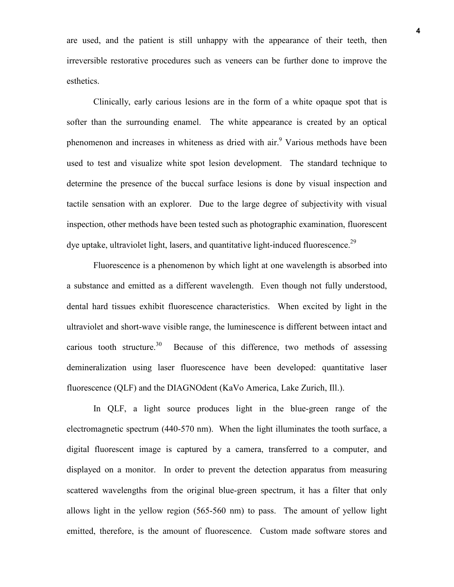are used, and the patient is still unhappy with the appearance of their teeth, then irreversible restorative procedures such as veneers can be further done to improve the esthetics.

 Clinically, early carious lesions are in the form of a white opaque spot that is softer than the surrounding enamel. The white appearance is created by an optical phenomenon and increases in whiteness as dried with air.<sup>9</sup> Various methods have been used to test and visualize white spot lesion development. The standard technique to determine the presence of the buccal surface lesions is done by visual inspection and tactile sensation with an explorer. Due to the large degree of subjectivity with visual inspection, other methods have been tested such as photographic examination, fluorescent dye uptake, ultraviolet light, lasers, and quantitative light-induced fluorescence.<sup>29</sup>

Fluorescence is a phenomenon by which light at one wavelength is absorbed into a substance and emitted as a different wavelength. Even though not fully understood, dental hard tissues exhibit fluorescence characteristics. When excited by light in the ultraviolet and short-wave visible range, the luminescence is different between intact and carious tooth structure.<sup>30</sup> Because of this difference, two methods of assessing demineralization using laser fluorescence have been developed: quantitative laser fluorescence (QLF) and the DIAGNOdent (KaVo America, Lake Zurich, Ill.).

In QLF, a light source produces light in the blue-green range of the electromagnetic spectrum (440-570 nm). When the light illuminates the tooth surface, a digital fluorescent image is captured by a camera, transferred to a computer, and displayed on a monitor. In order to prevent the detection apparatus from measuring scattered wavelengths from the original blue-green spectrum, it has a filter that only allows light in the yellow region (565-560 nm) to pass. The amount of yellow light emitted, therefore, is the amount of fluorescence. Custom made software stores and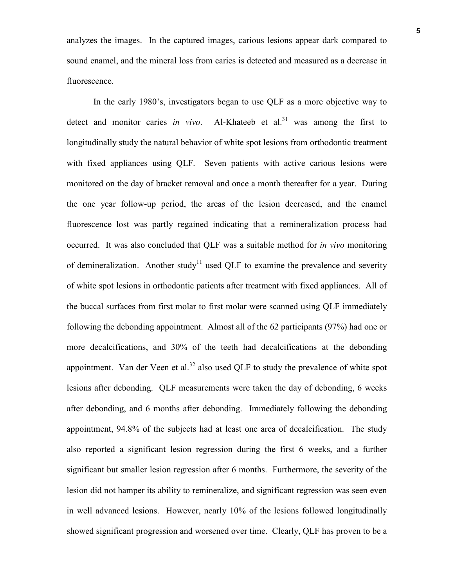analyzes the images. In the captured images, carious lesions appear dark compared to sound enamel, and the mineral loss from caries is detected and measured as a decrease in fluorescence.

In the early 1980's, investigators began to use QLF as a more objective way to detect and monitor caries *in vivo*. Al-Khateeb et al.<sup>31</sup> was among the first to longitudinally study the natural behavior of white spot lesions from orthodontic treatment with fixed appliances using QLF. Seven patients with active carious lesions were monitored on the day of bracket removal and once a month thereafter for a year. During the one year follow-up period, the areas of the lesion decreased, and the enamel fluorescence lost was partly regained indicating that a remineralization process had occurred. It was also concluded that QLF was a suitable method for *in vivo* monitoring of demineralization. Another study<sup>11</sup> used QLF to examine the prevalence and severity of white spot lesions in orthodontic patients after treatment with fixed appliances. All of the buccal surfaces from first molar to first molar were scanned using QLF immediately following the debonding appointment. Almost all of the 62 participants (97%) had one or more decalcifications, and 30% of the teeth had decalcifications at the debonding appointment. Van der Veen et al.<sup>32</sup> also used OLF to study the prevalence of white spot lesions after debonding. QLF measurements were taken the day of debonding, 6 weeks after debonding, and 6 months after debonding. Immediately following the debonding appointment, 94.8% of the subjects had at least one area of decalcification. The study also reported a significant lesion regression during the first 6 weeks, and a further significant but smaller lesion regression after 6 months. Furthermore, the severity of the lesion did not hamper its ability to remineralize, and significant regression was seen even in well advanced lesions. However, nearly 10% of the lesions followed longitudinally showed significant progression and worsened over time. Clearly, QLF has proven to be a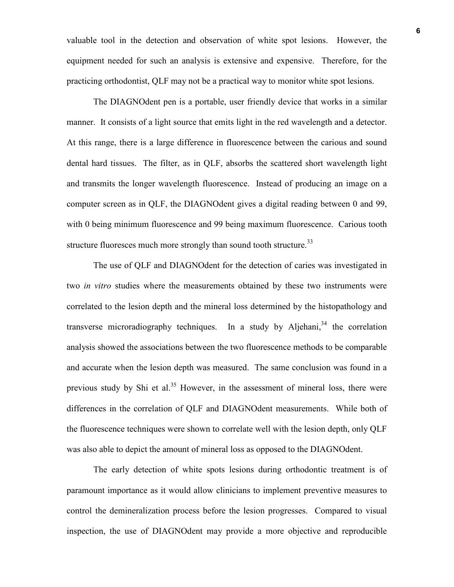valuable tool in the detection and observation of white spot lesions. However, the equipment needed for such an analysis is extensive and expensive. Therefore, for the practicing orthodontist, QLF may not be a practical way to monitor white spot lesions.

The DIAGNOdent pen is a portable, user friendly device that works in a similar manner. It consists of a light source that emits light in the red wavelength and a detector. At this range, there is a large difference in fluorescence between the carious and sound dental hard tissues. The filter, as in QLF, absorbs the scattered short wavelength light and transmits the longer wavelength fluorescence. Instead of producing an image on a computer screen as in QLF, the DIAGNOdent gives a digital reading between 0 and 99, with 0 being minimum fluorescence and 99 being maximum fluorescence. Carious tooth structure fluoresces much more strongly than sound tooth structure.<sup>33</sup>

The use of QLF and DIAGNOdent for the detection of caries was investigated in two *in vitro* studies where the measurements obtained by these two instruments were correlated to the lesion depth and the mineral loss determined by the histopathology and transverse microradiography techniques. In a study by Aljehani,  $34$  the correlation analysis showed the associations between the two fluorescence methods to be comparable and accurate when the lesion depth was measured. The same conclusion was found in a previous study by Shi et al.<sup>35</sup> However, in the assessment of mineral loss, there were differences in the correlation of QLF and DIAGNOdent measurements. While both of the fluorescence techniques were shown to correlate well with the lesion depth, only QLF was also able to depict the amount of mineral loss as opposed to the DIAGNOdent.

The early detection of white spots lesions during orthodontic treatment is of paramount importance as it would allow clinicians to implement preventive measures to control the demineralization process before the lesion progresses. Compared to visual inspection, the use of DIAGNOdent may provide a more objective and reproducible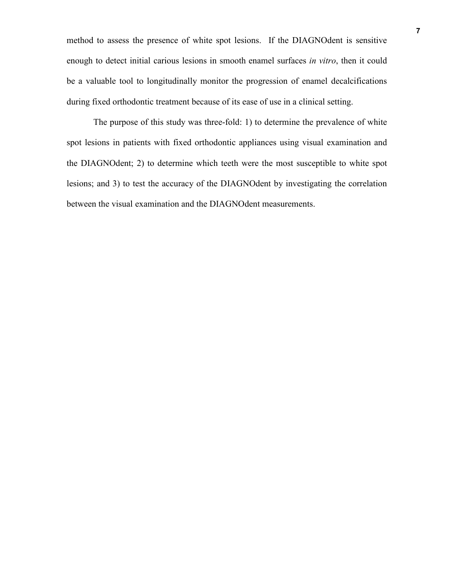method to assess the presence of white spot lesions. If the DIAGNOdent is sensitive enough to detect initial carious lesions in smooth enamel surfaces *in vitro*, then it could be a valuable tool to longitudinally monitor the progression of enamel decalcifications during fixed orthodontic treatment because of its ease of use in a clinical setting.

The purpose of this study was three-fold: 1) to determine the prevalence of white spot lesions in patients with fixed orthodontic appliances using visual examination and the DIAGNOdent; 2) to determine which teeth were the most susceptible to white spot lesions; and 3) to test the accuracy of the DIAGNOdent by investigating the correlation between the visual examination and the DIAGNOdent measurements.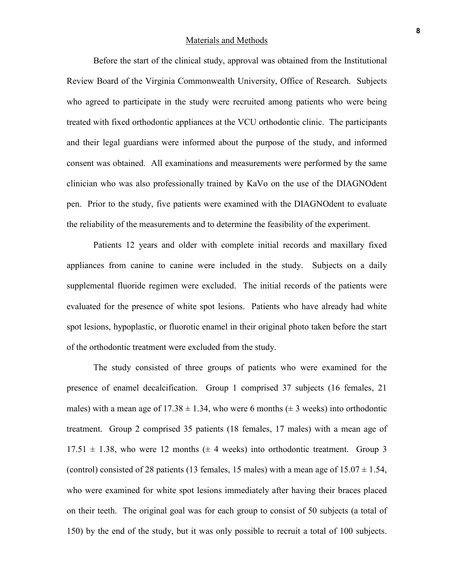#### Materials and Methods

Before the start of the clinical study, approval was obtained from the Institutional Review Board of the Virginia Commonwealth University, Office of Research. Subjects who agreed to participate in the study were recruited among patients who were being treated with fixed orthodontic appliances at the VCU orthodontic clinic. The participants and their legal guardians were informed about the purpose of the study, and informed consent was obtained. All examinations and measurements were performed by the same clinician who was also professionally trained by KaVo on the use of the DIAGNOdent pen. Prior to the study, five patients were examined with the DIAGNOdent to evaluate the reliability of the measurements and to determine the feasibility of the experiment.

Patients 12 years and older with complete initial records and maxillary fixed appliances from canine to canine were included in the study. Subjects on a daily supplemental fluoride regimen were excluded. The initial records of the patients were evaluated for the presence of white spot lesions. Patients who have already had white spot lesions, hypoplastic, or fluorotic enamel in their original photo taken before the start of the orthodontic treatment were excluded from the study.

The study consisted of three groups of patients who were examined for the presence of enamel decalcification. Group 1 comprised 37 subjects (16 females, 21 males) with a mean age of 17.38  $\pm$  1.34, who were 6 months ( $\pm$  3 weeks) into orthodontic treatment. Group 2 comprised 35 patients (18 females, 17 males) with a mean age of  $17.51 \pm 1.38$ , who were 12 months ( $\pm$  4 weeks) into orthodontic treatment. Group 3 (control) consisted of 28 patients (13 females, 15 males) with a mean age of  $15.07 \pm 1.54$ , who were examined for white spot lesions immediately after having their braces placed on their teeth. The original goal was for each group to consist of 50 subjects (a total of 150) by the end of the study, but it was only possible to recruit a total of 100 subjects.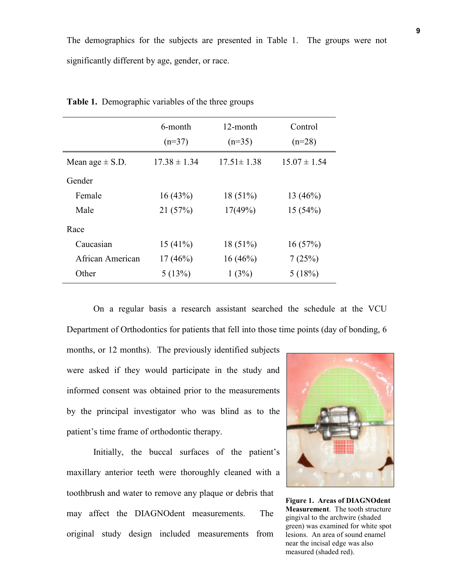The demographics for the subjects are presented in Table 1. The groups were not significantly different by age, gender, or race.

|                     | 6-month<br>$(n=37)$ | 12-month<br>$(n=35)$ | Control<br>$(n=28)$ |
|---------------------|---------------------|----------------------|---------------------|
| Mean age $\pm$ S.D. | $17.38 \pm 1.34$    | $17.51 \pm 1.38$     | $15.07 \pm 1.54$    |
| Gender              |                     |                      |                     |
| Female              | 16(43%)             | $18(51\%)$           | 13 $(46%)$          |
| Male                | 21(57%)             | 17(49%)              | 15(54%)             |
| Race                |                     |                      |                     |
| Caucasian           | 15(41%)             | $18(51\%)$           | 16(57%)             |
| African American    | $17(46\%)$          | $16(46\%)$           | 7(25%)              |
| Other               | 5(13%)              | 1(3%)                | 5(18%)              |

**Table 1.** Demographic variables of the three groups

On a regular basis a research assistant searched the schedule at the VCU Department of Orthodontics for patients that fell into those time points (day of bonding, 6

months, or 12 months). The previously identified subjects were asked if they would participate in the study and informed consent was obtained prior to the measurements by the principal investigator who was blind as to the patient's time frame of orthodontic therapy.

Initially, the buccal surfaces of the patient's maxillary anterior teeth were thoroughly cleaned with a toothbrush and water to remove any plaque or debris that may affect the DIAGNOdent measurements. The original study design included measurements from



**Figure 1. Areas of DIAGNOdent Measurement**. The tooth structure gingival to the archwire (shaded green) was examined for white spot lesions. An area of sound enamel near the incisal edge was also measured (shaded red).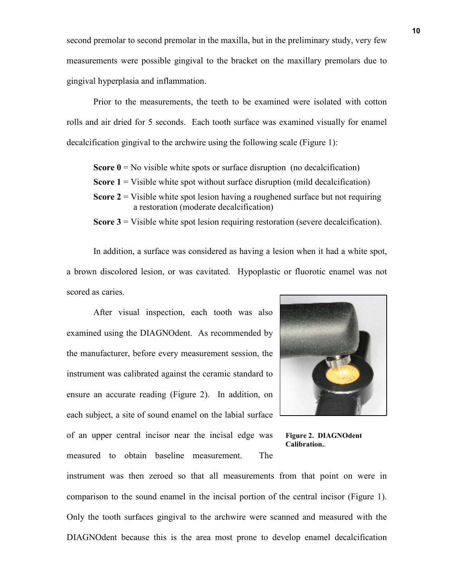second premolar to second premolar in the maxilla, but in the preliminary study, very few measurements were possible gingival to the bracket on the maxillary premolars due to gingival hyperplasia and inflammation.

Prior to the measurements, the teeth to be examined were isolated with cotton rolls and air dried for 5 seconds. Each tooth surface was examined visually for enamel decalcification gingival to the archwire using the following scale (Figure 1):

**Score**  $0 =$  No visible white spots or surface disruption (no decalcification)

- **Score 1** = Visible white spot without surface disruption (mild decalcification)
- **Score 2** = Visible white spot lesion having a roughened surface but not requiring a restoration (moderate decalcification)

**Score 3** = Visible white spot lesion requiring restoration (severe decalcification).

In addition, a surface was considered as having a lesion when it had a white spot, a brown discolored lesion, or was cavitated. Hypoplastic or fluorotic enamel was not scored as caries.

After visual inspection, each tooth was also examined using the DIAGNOdent. As recommended by the manufacturer, before every measurement session, the instrument was calibrated against the ceramic standard to ensure an accurate reading (Figure 2). In addition, on each subject, a site of sound enamel on the labial surface of an upper central incisor near the incisal edge was measured to obtain baseline measurement. The



**Figure 2. DIAGNOdent Calibration.**.

instrument was then zeroed so that all measurements from that point on were in comparison to the sound enamel in the incisal portion of the central incisor (Figure 1). Only the tooth surfaces gingival to the archwire were scanned and measured with the DIAGNOdent because this is the area most prone to develop enamel decalcification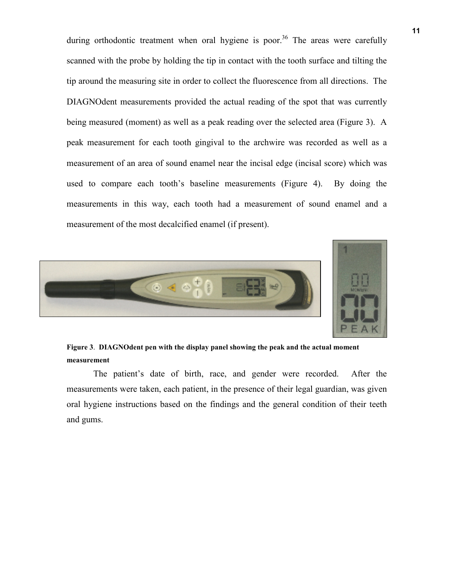during orthodontic treatment when oral hygiene is poor.<sup>36</sup> The areas were carefully scanned with the probe by holding the tip in contact with the tooth surface and tilting the tip around the measuring site in order to collect the fluorescence from all directions. The DIAGNOdent measurements provided the actual reading of the spot that was currently being measured (moment) as well as a peak reading over the selected area (Figure 3). A peak measurement for each tooth gingival to the archwire was recorded as well as a measurement of an area of sound enamel near the incisal edge (incisal score) which was used to compare each tooth's baseline measurements (Figure 4). By doing the measurements in this way, each tooth had a measurement of sound enamel and a measurement of the most decalcified enamel (if present).



**Figure 3**. **DIAGNOdent pen with the display panel showing the peak and the actual moment measurement**

The patient's date of birth, race, and gender were recorded. After the measurements were taken, each patient, in the presence of their legal guardian, was given oral hygiene instructions based on the findings and the general condition of their teeth and gums.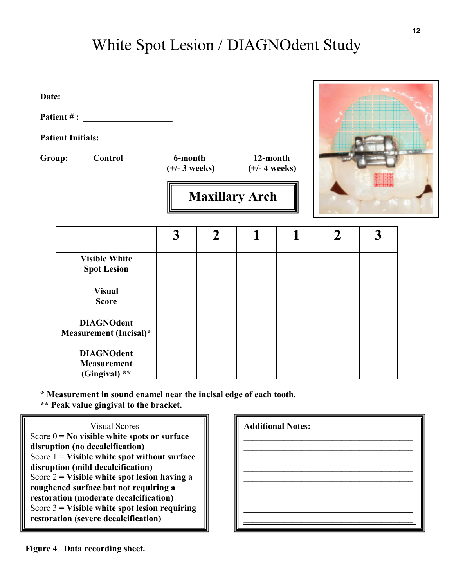# White Spot Lesion / DIAGNOdent Study

| Date: |  |
|-------|--|
|       |  |

**Patient # : \_\_\_\_\_\_\_\_\_\_\_\_\_\_\_\_\_\_\_\_** 

Patient Initials:

**Group: Control 6-month 12-month** 

 **(+/- 3 weeks) (+/- 4 weeks)** 



|                                                          | 3 |  |  |  |
|----------------------------------------------------------|---|--|--|--|
| <b>Visible White</b><br><b>Spot Lesion</b>               |   |  |  |  |
| <b>Visual</b><br><b>Score</b>                            |   |  |  |  |
| <b>DIAGNOdent</b><br>Measurement (Incisal)*              |   |  |  |  |
| <b>DIAGNOdent</b><br><b>Measurement</b><br>(Gingival) ** |   |  |  |  |

**Maxillary Arch** 

**\* Measurement in sound enamel near the incisal edge of each tooth.** 

**\*\* Peak value gingival to the bracket.** 

**Results**  Score 3 **= Visible white spot lesion requiring restoration (severe decalcification)**  Visual Scores Score 0 **= No visible white spots or surface disruption (no decalcification)**  Score 1 **= Visible white spot without surface disruption (mild decalcification)**  Score 2 **= Visible white spot lesion having a roughened surface but not requiring a restoration (moderate decalcification)** 

| <b>Additional Notes:</b> |
|--------------------------|
|                          |
|                          |
|                          |
|                          |

**Figure 4**. **Data recording sheet.**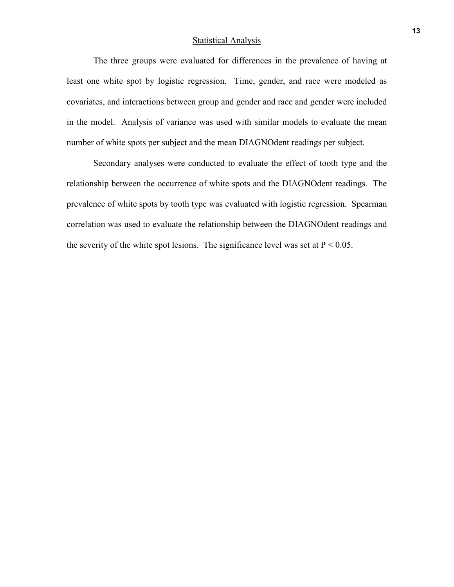#### **Statistical Analysis**

The three groups were evaluated for differences in the prevalence of having at least one white spot by logistic regression. Time, gender, and race were modeled as covariates, and interactions between group and gender and race and gender were included in the model. Analysis of variance was used with similar models to evaluate the mean number of white spots per subject and the mean DIAGNOdent readings per subject.

Secondary analyses were conducted to evaluate the effect of tooth type and the relationship between the occurrence of white spots and the DIAGNOdent readings. The prevalence of white spots by tooth type was evaluated with logistic regression. Spearman correlation was used to evaluate the relationship between the DIAGNOdent readings and the severity of the white spot lesions. The significance level was set at  $P < 0.05$ .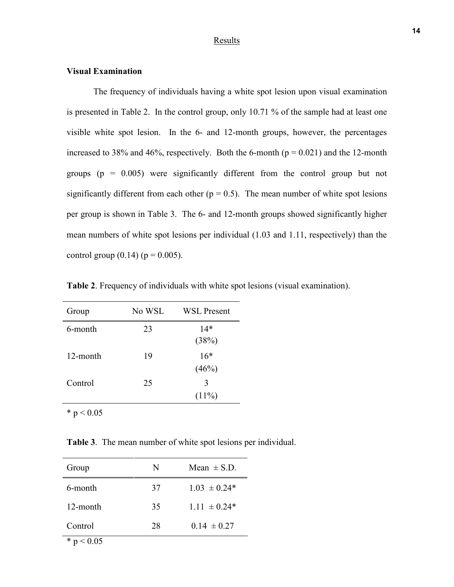#### **Results**

#### **Visual Examination**

The frequency of individuals having a white spot lesion upon visual examination is presented in Table 2. In the control group, only 10.71 % of the sample had at least one visible white spot lesion. In the 6- and 12-month groups, however, the percentages increased to 38% and 46%, respectively. Both the 6-month ( $p = 0.021$ ) and the 12-month groups ( $p = 0.005$ ) were significantly different from the control group but not significantly different from each other ( $p = 0.5$ ). The mean number of white spot lesions per group is shown in Table 3. The 6- and 12-month groups showed significantly higher mean numbers of white spot lesions per individual (1.03 and 1.11, respectively) than the control group  $(0.14)$  ( $p = 0.005$ ).

| Group    | No WSL | <b>WSL Present</b> |
|----------|--------|--------------------|
| 6-month  | 23     | $14*$<br>(38%)     |
| 12-month | 19     | $16*$<br>(46%)     |
| Control  | 25     | 3<br>$(11\%)$      |

**Table 2**. Frequency of individuals with white spot lesions (visual examination).

**Table 3**. The mean number of white spot lesions per individual.

| Group    | N  | Mean $\pm$ S.D.  |
|----------|----|------------------|
| 6-month  | 37 | $1.03 \pm 0.24*$ |
| 12-month | 35 | $1.11 \pm 0.24*$ |
| Control  | 28 | $0.14 \pm 0.27$  |

\*  $p < 0.05$ 

\*  $p < 0.05$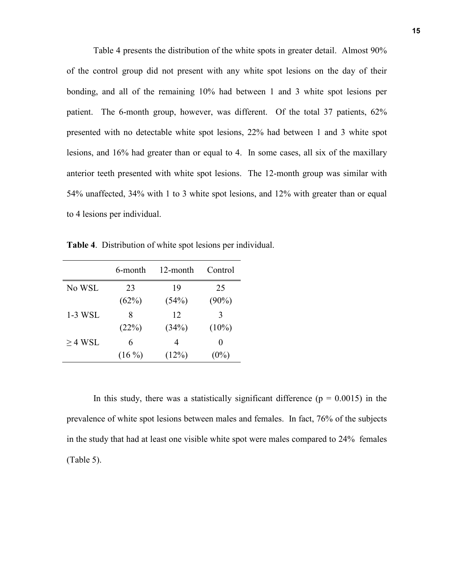Table 4 presents the distribution of the white spots in greater detail. Almost 90% of the control group did not present with any white spot lesions on the day of their bonding, and all of the remaining 10% had between 1 and 3 white spot lesions per patient. The 6-month group, however, was different. Of the total 37 patients, 62% presented with no detectable white spot lesions, 22% had between 1 and 3 white spot lesions, and 16% had greater than or equal to 4. In some cases, all six of the maxillary anterior teeth presented with white spot lesions. The 12-month group was similar with 54% unaffected, 34% with 1 to 3 white spot lesions, and 12% with greater than or equal to 4 lesions per individual.

**Table 4**. Distribution of white spot lesions per individual.

|              | 6-month  | 12-month | Control  |
|--------------|----------|----------|----------|
| No WSL       | 23       | 19       | 25       |
|              | (62%)    | (54%)    | $(90\%)$ |
| 1-3 WSL      | 8        | 12       | 3        |
|              | (22%)    | (34%)    | $(10\%)$ |
| $\geq$ 4 WSL | 6        | 4        | $\theta$ |
|              | $(16\%)$ | (12%)    | $(0\%)$  |

In this study, there was a statistically significant difference ( $p = 0.0015$ ) in the prevalence of white spot lesions between males and females. In fact, 76% of the subjects in the study that had at least one visible white spot were males compared to 24% females (Table 5).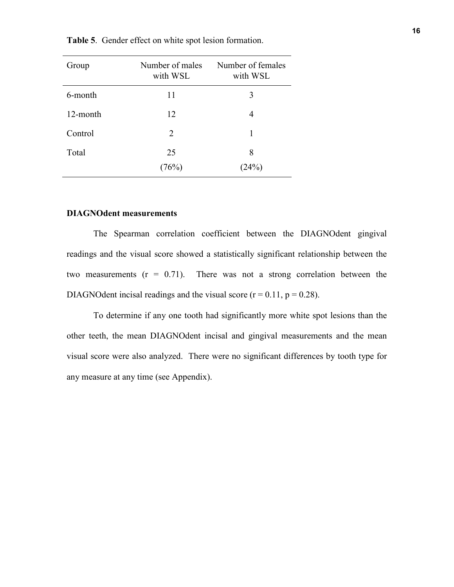| Group    | Number of males<br>with WSL | Number of females<br>with WSL |
|----------|-----------------------------|-------------------------------|
| 6-month  | 11                          | 3                             |
| 12-month | 12                          | 4                             |
| Control  | 2                           | 1                             |
| Total    | 25                          | 8                             |
|          | (76%)                       | (24%)                         |

**Table 5**. Gender effect on white spot lesion formation.

#### **DIAGNOdent measurements**

The Spearman correlation coefficient between the DIAGNOdent gingival readings and the visual score showed a statistically significant relationship between the two measurements  $(r = 0.71)$ . There was not a strong correlation between the DIAGNOdent incisal readings and the visual score  $(r = 0.11, p = 0.28)$ .

 To determine if any one tooth had significantly more white spot lesions than the other teeth, the mean DIAGNOdent incisal and gingival measurements and the mean visual score were also analyzed. There were no significant differences by tooth type for any measure at any time (see Appendix).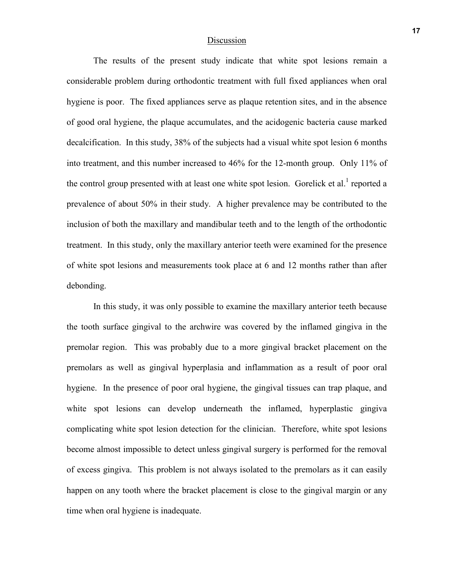#### Discussion

The results of the present study indicate that white spot lesions remain a considerable problem during orthodontic treatment with full fixed appliances when oral hygiene is poor. The fixed appliances serve as plaque retention sites, and in the absence of good oral hygiene, the plaque accumulates, and the acidogenic bacteria cause marked decalcification. In this study, 38% of the subjects had a visual white spot lesion 6 months into treatment, and this number increased to 46% for the 12-month group. Only 11% of the control group presented with at least one white spot lesion. Gorelick et al.<sup>1</sup> reported a prevalence of about 50% in their study. A higher prevalence may be contributed to the inclusion of both the maxillary and mandibular teeth and to the length of the orthodontic treatment. In this study, only the maxillary anterior teeth were examined for the presence of white spot lesions and measurements took place at 6 and 12 months rather than after debonding.

 In this study, it was only possible to examine the maxillary anterior teeth because the tooth surface gingival to the archwire was covered by the inflamed gingiva in the premolar region. This was probably due to a more gingival bracket placement on the premolars as well as gingival hyperplasia and inflammation as a result of poor oral hygiene. In the presence of poor oral hygiene, the gingival tissues can trap plaque, and white spot lesions can develop underneath the inflamed, hyperplastic gingiva complicating white spot lesion detection for the clinician. Therefore, white spot lesions become almost impossible to detect unless gingival surgery is performed for the removal of excess gingiva. This problem is not always isolated to the premolars as it can easily happen on any tooth where the bracket placement is close to the gingival margin or any time when oral hygiene is inadequate.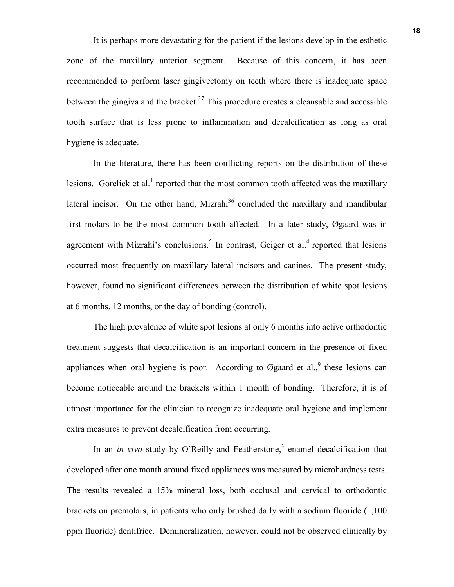It is perhaps more devastating for the patient if the lesions develop in the esthetic zone of the maxillary anterior segment. Because of this concern, it has been recommended to perform laser gingivectomy on teeth where there is inadequate space between the gingiva and the bracket.<sup>37</sup> This procedure creates a cleansable and accessible tooth surface that is less prone to inflammation and decalcification as long as oral hygiene is adequate.

In the literature, there has been conflicting reports on the distribution of these lesions. Gorelick et al.<sup>1</sup> reported that the most common tooth affected was the maxillary lateral incisor. On the other hand, Mizrahi $36$  concluded the maxillary and mandibular first molars to be the most common tooth affected. In a later study, Øgaard was in agreement with Mizrahi's conclusions.<sup>5</sup> In contrast, Geiger et al.<sup>4</sup> reported that lesions occurred most frequently on maxillary lateral incisors and canines. The present study, however, found no significant differences between the distribution of white spot lesions at 6 months, 12 months, or the day of bonding (control).

 The high prevalence of white spot lesions at only 6 months into active orthodontic treatment suggests that decalcification is an important concern in the presence of fixed appliances when oral hygiene is poor. According to Øgaard et al., these lesions can become noticeable around the brackets within 1 month of bonding. Therefore, it is of utmost importance for the clinician to recognize inadequate oral hygiene and implement extra measures to prevent decalcification from occurring.

In an *in vivo* study by O'Reilly and Featherstone,<sup>3</sup> enamel decalcification that developed after one month around fixed appliances was measured by microhardness tests. The results revealed a 15% mineral loss, both occlusal and cervical to orthodontic brackets on premolars, in patients who only brushed daily with a sodium fluoride (1,100 ppm fluoride) dentifrice. Demineralization, however, could not be observed clinically by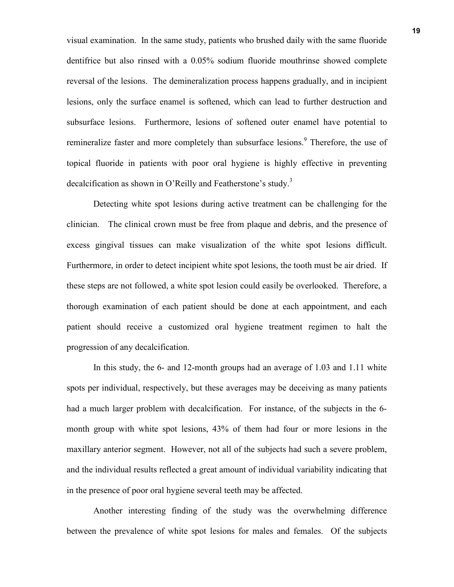visual examination. In the same study, patients who brushed daily with the same fluoride dentifrice but also rinsed with a 0.05% sodium fluoride mouthrinse showed complete reversal of the lesions. The demineralization process happens gradually, and in incipient lesions, only the surface enamel is softened, which can lead to further destruction and subsurface lesions. Furthermore, lesions of softened outer enamel have potential to remineralize faster and more completely than subsurface lesions.<sup>9</sup> Therefore, the use of topical fluoride in patients with poor oral hygiene is highly effective in preventing decalcification as shown in O'Reilly and Featherstone's study.<sup>3</sup>

Detecting white spot lesions during active treatment can be challenging for the clinician. The clinical crown must be free from plaque and debris, and the presence of excess gingival tissues can make visualization of the white spot lesions difficult. Furthermore, in order to detect incipient white spot lesions, the tooth must be air dried. If these steps are not followed, a white spot lesion could easily be overlooked. Therefore, a thorough examination of each patient should be done at each appointment, and each patient should receive a customized oral hygiene treatment regimen to halt the progression of any decalcification.

 In this study, the 6- and 12-month groups had an average of 1.03 and 1.11 white spots per individual, respectively, but these averages may be deceiving as many patients had a much larger problem with decalcification. For instance, of the subjects in the 6 month group with white spot lesions, 43% of them had four or more lesions in the maxillary anterior segment. However, not all of the subjects had such a severe problem, and the individual results reflected a great amount of individual variability indicating that in the presence of poor oral hygiene several teeth may be affected.

 Another interesting finding of the study was the overwhelming difference between the prevalence of white spot lesions for males and females. Of the subjects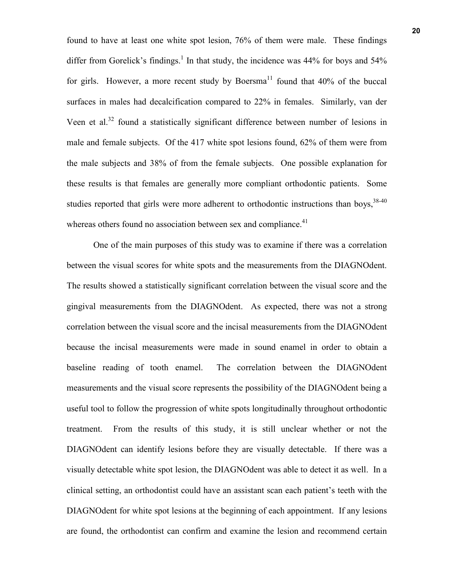found to have at least one white spot lesion, 76% of them were male. These findings differ from Gorelick's findings.<sup>1</sup> In that study, the incidence was  $44\%$  for boys and  $54\%$ for girls. However, a more recent study by Boersma<sup>11</sup> found that  $40\%$  of the buccal surfaces in males had decalcification compared to 22% in females. Similarly, van der Veen et al.<sup>32</sup> found a statistically significant difference between number of lesions in male and female subjects. Of the 417 white spot lesions found, 62% of them were from the male subjects and 38% of from the female subjects. One possible explanation for these results is that females are generally more compliant orthodontic patients. Some studies reported that girls were more adherent to orthodontic instructions than boys,  $38-40$ whereas others found no association between sex and compliance. $41$ 

 One of the main purposes of this study was to examine if there was a correlation between the visual scores for white spots and the measurements from the DIAGNOdent. The results showed a statistically significant correlation between the visual score and the gingival measurements from the DIAGNOdent. As expected, there was not a strong correlation between the visual score and the incisal measurements from the DIAGNOdent because the incisal measurements were made in sound enamel in order to obtain a baseline reading of tooth enamel. The correlation between the DIAGNOdent measurements and the visual score represents the possibility of the DIAGNOdent being a useful tool to follow the progression of white spots longitudinally throughout orthodontic treatment. From the results of this study, it is still unclear whether or not the DIAGNOdent can identify lesions before they are visually detectable. If there was a visually detectable white spot lesion, the DIAGNOdent was able to detect it as well. In a clinical setting, an orthodontist could have an assistant scan each patient's teeth with the DIAGNOdent for white spot lesions at the beginning of each appointment. If any lesions are found, the orthodontist can confirm and examine the lesion and recommend certain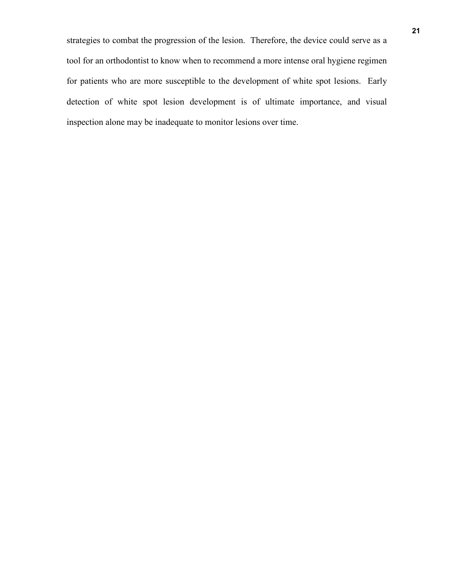strategies to combat the progression of the lesion. Therefore, the device could serve as a tool for an orthodontist to know when to recommend a more intense oral hygiene regimen for patients who are more susceptible to the development of white spot lesions. Early detection of white spot lesion development is of ultimate importance, and visual inspection alone may be inadequate to monitor lesions over time.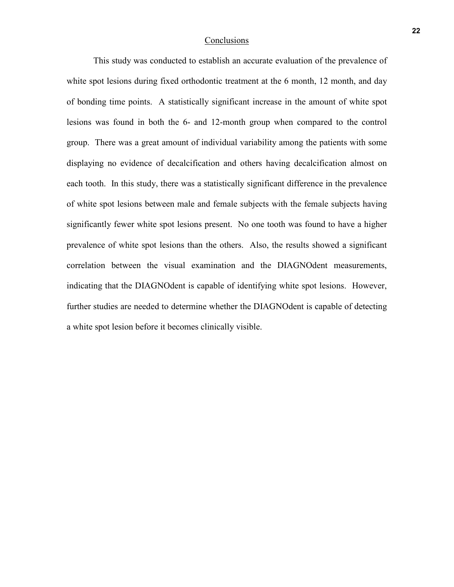#### **Conclusions**

 This study was conducted to establish an accurate evaluation of the prevalence of white spot lesions during fixed orthodontic treatment at the 6 month, 12 month, and day of bonding time points. A statistically significant increase in the amount of white spot lesions was found in both the 6- and 12-month group when compared to the control group. There was a great amount of individual variability among the patients with some displaying no evidence of decalcification and others having decalcification almost on each tooth. In this study, there was a statistically significant difference in the prevalence of white spot lesions between male and female subjects with the female subjects having significantly fewer white spot lesions present. No one tooth was found to have a higher prevalence of white spot lesions than the others. Also, the results showed a significant correlation between the visual examination and the DIAGNOdent measurements, indicating that the DIAGNOdent is capable of identifying white spot lesions. However, further studies are needed to determine whether the DIAGNOdent is capable of detecting a white spot lesion before it becomes clinically visible.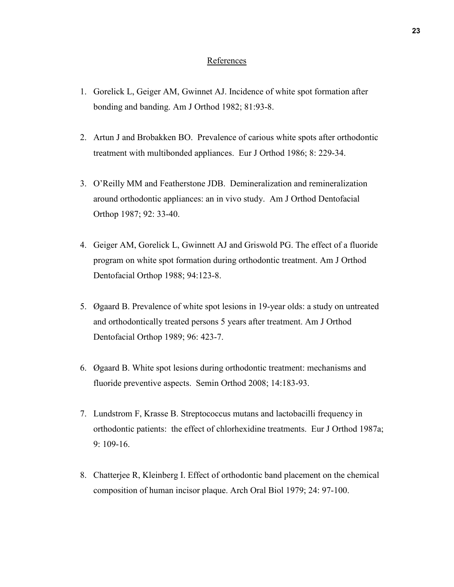#### References

- 1. Gorelick L, Geiger AM, Gwinnet AJ. Incidence of white spot formation after bonding and banding. Am J Orthod 1982; 81:93-8.
- 2. Artun J and Brobakken BO. Prevalence of carious white spots after orthodontic treatment with multibonded appliances. Eur J Orthod 1986; 8: 229-34.
- 3. O'Reilly MM and Featherstone JDB. Demineralization and remineralization around orthodontic appliances: an in vivo study. Am J Orthod Dentofacial Orthop 1987; 92: 33-40.
- 4. Geiger AM, Gorelick L, Gwinnett AJ and Griswold PG. The effect of a fluoride program on white spot formation during orthodontic treatment. Am J Orthod Dentofacial Orthop 1988; 94:123-8.
- 5. Øgaard B. Prevalence of white spot lesions in 19-year olds: a study on untreated and orthodontically treated persons 5 years after treatment. Am J Orthod Dentofacial Orthop 1989; 96: 423-7.
- 6. Øgaard B. White spot lesions during orthodontic treatment: mechanisms and fluoride preventive aspects. Semin Orthod 2008; 14:183-93.
- 7. Lundstrom F, Krasse B. Streptococcus mutans and lactobacilli frequency in orthodontic patients: the effect of chlorhexidine treatments. Eur J Orthod 1987a; 9: 109-16.
- 8. Chatterjee R, Kleinberg I. Effect of orthodontic band placement on the chemical composition of human incisor plaque. Arch Oral Biol 1979; 24: 97-100.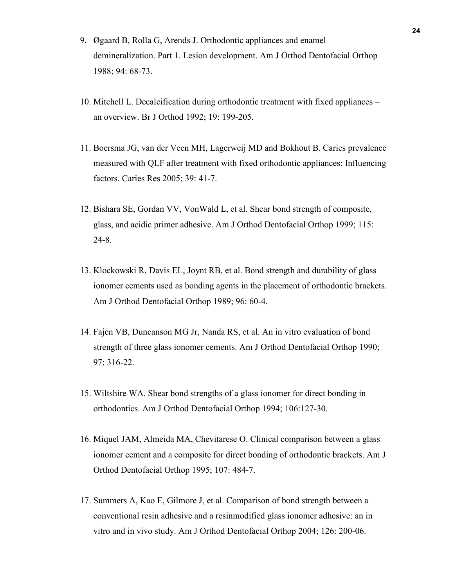- 9. Øgaard B, Rolla G, Arends J. Orthodontic appliances and enamel demineralization. Part 1. Lesion development. Am J Orthod Dentofacial Orthop 1988; 94: 68-73.
- 10. Mitchell L. Decalcification during orthodontic treatment with fixed appliances an overview. Br J Orthod 1992; 19: 199-205.
- 11. Boersma JG, van der Veen MH, Lagerweij MD and Bokhout B. Caries prevalence measured with QLF after treatment with fixed orthodontic appliances: Influencing factors. Caries Res 2005; 39: 41-7.
- 12. Bishara SE, Gordan VV, VonWald L, et al. Shear bond strength of composite, glass, and acidic primer adhesive. Am J Orthod Dentofacial Orthop 1999; 115: 24-8.
- 13. Klockowski R, Davis EL, Joynt RB, et al. Bond strength and durability of glass ionomer cements used as bonding agents in the placement of orthodontic brackets. Am J Orthod Dentofacial Orthop 1989; 96: 60-4.
- 14. Fajen VB, Duncanson MG Jr, Nanda RS, et al. An in vitro evaluation of bond strength of three glass ionomer cements. Am J Orthod Dentofacial Orthop 1990; 97: 316-22.
- 15. Wiltshire WA. Shear bond strengths of a glass ionomer for direct bonding in orthodontics. Am J Orthod Dentofacial Orthop 1994; 106:127-30.
- 16. Miquel JAM, Almeida MA, Chevitarese O. Clinical comparison between a glass ionomer cement and a composite for direct bonding of orthodontic brackets. Am J Orthod Dentofacial Orthop 1995; 107: 484-7.
- 17. Summers A, Kao E, Gilmore J, et al. Comparison of bond strength between a conventional resin adhesive and a resinmodified glass ionomer adhesive: an in vitro and in vivo study. Am J Orthod Dentofacial Orthop 2004; 126: 200-06.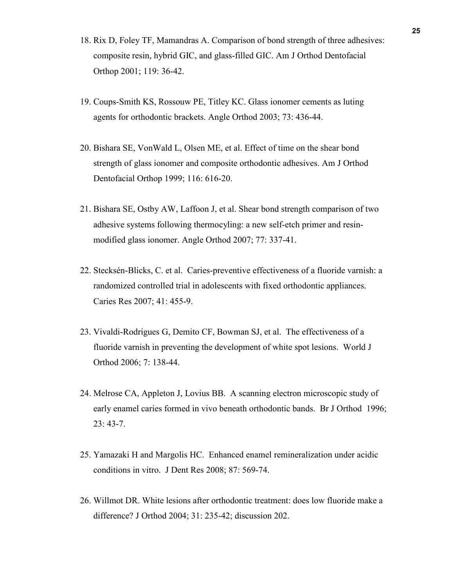- 18. Rix D, Foley TF, Mamandras A. Comparison of bond strength of three adhesives: composite resin, hybrid GIC, and glass-filled GIC. Am J Orthod Dentofacial Orthop 2001; 119: 36-42.
- 19. Coups-Smith KS, Rossouw PE, Titley KC. Glass ionomer cements as luting agents for orthodontic brackets. Angle Orthod 2003; 73: 436-44.
- 20. Bishara SE, VonWald L, Olsen ME, et al. Effect of time on the shear bond strength of glass ionomer and composite orthodontic adhesives. Am J Orthod Dentofacial Orthop 1999; 116: 616-20.
- 21. Bishara SE, Ostby AW, Laffoon J, et al. Shear bond strength comparison of two adhesive systems following thermocyling: a new self-etch primer and resinmodified glass ionomer. Angle Orthod 2007; 77: 337-41.
- 22. Stecksén-Blicks, C. et al. Caries-preventive effectiveness of a fluoride varnish: a randomized controlled trial in adolescents with fixed orthodontic appliances. Caries Res 2007; 41: 455-9.
- 23. Vivaldi-Rodrigues G, Demito CF, Bowman SJ, et al. The effectiveness of a fluoride varnish in preventing the development of white spot lesions. World J Orthod 2006; 7: 138-44.
- 24. Melrose CA, Appleton J, Lovius BB. A scanning electron microscopic study of early enamel caries formed in vivo beneath orthodontic bands. Br J Orthod 1996; 23: 43-7.
- 25. Yamazaki H and Margolis HC. Enhanced enamel remineralization under acidic conditions in vitro. J Dent Res 2008; 87: 569-74.
- 26. Willmot DR. White lesions after orthodontic treatment: does low fluoride make a difference? J Orthod 2004; 31: 235-42; discussion 202.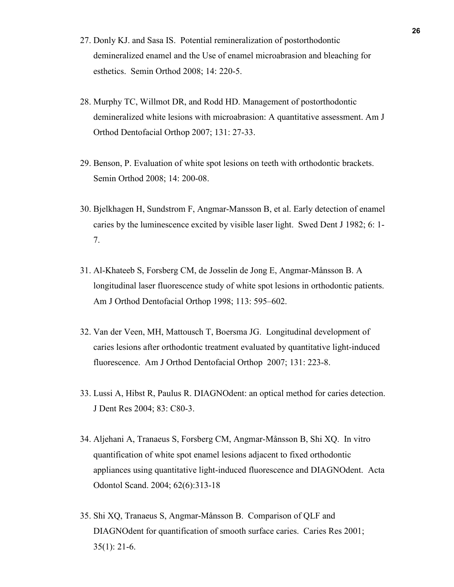- 27. Donly KJ. and Sasa IS. Potential remineralization of postorthodontic demineralized enamel and the Use of enamel microabrasion and bleaching for esthetics. Semin Orthod 2008; 14: 220-5.
- 28. Murphy TC, Willmot DR, and Rodd HD. Management of postorthodontic demineralized white lesions with microabrasion: A quantitative assessment. Am J Orthod Dentofacial Orthop 2007; 131: 27-33.
- 29. Benson, P. Evaluation of white spot lesions on teeth with orthodontic brackets. Semin Orthod 2008; 14: 200-08.
- 30. Bjelkhagen H, Sundstrom F, Angmar-Mansson B, et al. Early detection of enamel caries by the luminescence excited by visible laser light. Swed Dent J 1982; 6: 1- 7.
- 31. Al-Khateeb S, Forsberg CM, de Josselin de Jong E, Angmar-Månsson B. A longitudinal laser fluorescence study of white spot lesions in orthodontic patients. Am J Orthod Dentofacial Orthop 1998; 113: 595–602.
- 32. Van der Veen, MH, Mattousch T, Boersma JG. Longitudinal development of caries lesions after orthodontic treatment evaluated by quantitative light-induced fluorescence. Am J Orthod Dentofacial Orthop 2007; 131: 223-8.
- 33. Lussi A, Hibst R, Paulus R. DIAGNOdent: an optical method for caries detection. J Dent Res 2004; 83: C80-3.
- 34. Aljehani A, Tranaeus S, Forsberg CM, Angmar-Månsson B, Shi XQ. In vitro quantification of white spot enamel lesions adjacent to fixed orthodontic appliances using quantitative light-induced fluorescence and DIAGNOdent. Acta Odontol Scand. 2004; 62(6):313-18
- 35. Shi XQ, Tranaeus S, Angmar-Månsson B. Comparison of QLF and DIAGNOdent for quantification of smooth surface caries. Caries Res 2001; 35(1): 21-6.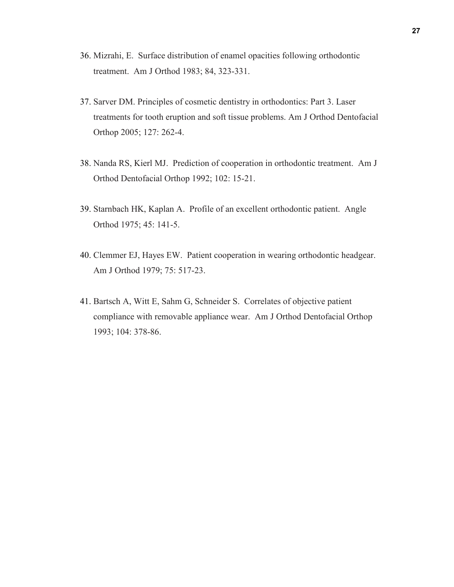- 36. Mizrahi, E. Surface distribution of enamel opacities following orthodontic treatment. Am J Orthod 1983; 84, 323-331.
- 37. Sarver DM. Principles of cosmetic dentistry in orthodontics: Part 3. Laser treatments for tooth eruption and soft tissue problems. Am J Orthod Dentofacial Orthop 2005; 127: 262-4.
- 38. Nanda RS, Kierl MJ. Prediction of cooperation in orthodontic treatment. Am J Orthod Dentofacial Orthop 1992; 102: 15-21.
- 39. Starnbach HK, Kaplan A. Profile of an excellent orthodontic patient. Angle Orthod 1975; 45: 141-5.
- 40. Clemmer EJ, Hayes EW. Patient cooperation in wearing orthodontic headgear. Am J Orthod 1979; 75: 517-23.
- 41. Bartsch A, Witt E, Sahm G, Schneider S. Correlates of objective patient compliance with removable appliance wear. Am J Orthod Dentofacial Orthop 1993; 104: 378-86.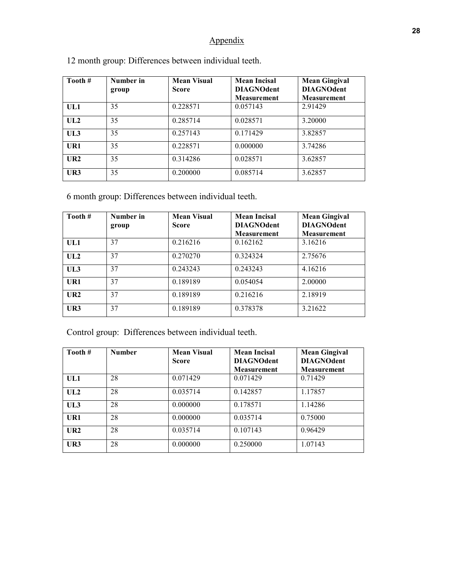## Appendix

| Tooth #       | Number in<br>group | <b>Mean Visual</b><br><b>Score</b> | <b>Mean Incisal</b><br><b>DIAGNOdent</b><br><b>Measurement</b> | <b>Mean Gingival</b><br><b>DIAGNOdent</b><br><b>Measurement</b> |
|---------------|--------------------|------------------------------------|----------------------------------------------------------------|-----------------------------------------------------------------|
| UL1           | 35                 | 0.228571                           | 0.057143                                                       | 2.91429                                                         |
| UL2           | 35                 | 0.285714                           | 0.028571                                                       | 3.20000                                                         |
| UL3           | 35                 | 0.257143                           | 0.171429                                                       | 3.82857                                                         |
| UR1           | 35                 | 0.228571                           | 0.000000                                                       | 3.74286                                                         |
| $_{\rm{U}R2}$ | 35                 | 0.314286                           | 0.028571                                                       | 3.62857                                                         |
| UR3           | 35                 | 0.200000                           | 0.085714                                                       | 3.62857                                                         |

12 month group: Differences between individual teeth.

6 month group: Differences between individual teeth.

| Tooth #       | Number in | <b>Mean Visual</b><br><b>Score</b> | <b>Mean Incisal</b><br><b>DIAGNOdent</b> | <b>Mean Gingival</b><br><b>DIAGNOdent</b> |
|---------------|-----------|------------------------------------|------------------------------------------|-------------------------------------------|
|               | group     |                                    | <b>Measurement</b>                       | <b>Measurement</b>                        |
| UL1           | 37        | 0.216216                           | 0.162162                                 | 3.16216                                   |
| UL2           | 37        | 0.270270                           | 0.324324                                 | 2.75676                                   |
| UL3           | 37        | 0.243243                           | 0.243243                                 | 4.16216                                   |
| UR1           | 37        | 0.189189                           | 0.054054                                 | 2.00000                                   |
| $_{\rm{U}R2}$ | 37        | 0.189189                           | 0.216216                                 | 2.18919                                   |
| UR3           | 37        | 0.189189                           | 0.378378                                 | 3.21622                                   |

Control group: Differences between individual teeth.

| Tooth #       | <b>Number</b> | <b>Mean Visual</b> | <b>Mean Incisal</b> | <b>Mean Gingival</b> |
|---------------|---------------|--------------------|---------------------|----------------------|
|               |               | Score              | <b>DIAGNOdent</b>   | <b>DIAGNOdent</b>    |
|               |               |                    | <b>Measurement</b>  | <b>Measurement</b>   |
| UL1           | 28            | 0.071429           | 0.071429            | 0.71429              |
| UL2           | 28            | 0.035714           | 0.142857            | 1.17857              |
| UL3           | 28            | 0.000000           | 0.178571            | 1.14286              |
| $_{\rm{UR1}}$ | 28            | 0.000000           | 0.035714            | 0.75000              |
| $_{\rm{U}R2}$ | 28            | 0.035714           | 0.107143            | 0.96429              |
| $_{\rm UR3}$  | 28            | 0.000000           | 0.250000            | 1.07143              |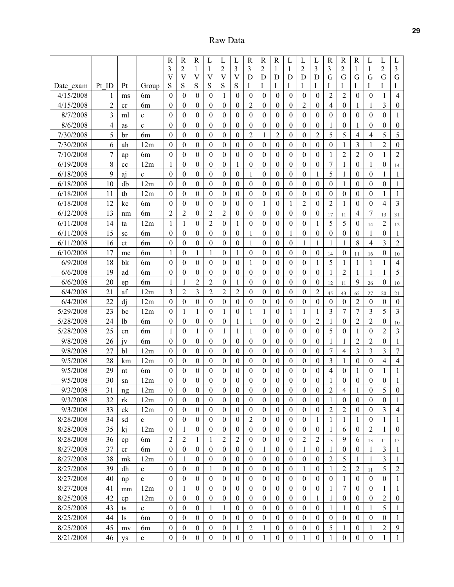Raw Data

|           |                |                |                | $\overline{\text{R}}$ | $\mathbf R$                  | $\mathbf R$                  | L                | L                | L                   | $\mathbb{R}$     | $\mathbf R$      | $\mathbf R$      | L                | L                | L                | $\mathbf R$      | $\mathbf R$      | $\mathbf R$      | L                | L                | L                |
|-----------|----------------|----------------|----------------|-----------------------|------------------------------|------------------------------|------------------|------------------|---------------------|------------------|------------------|------------------|------------------|------------------|------------------|------------------|------------------|------------------|------------------|------------------|------------------|
|           |                |                |                | 3                     | 2                            | 1                            | 1                | 2                | 3                   | 3                | 2                | 1                | 1                | $\overline{c}$   | 3                | 3                | 2                | 1                | 1                | $\overline{2}$   | 3                |
| Date exam | Pt ID          | Pt             | Group          | $\mathbf{V}$<br>S     | $\overline{\mathsf{V}}$<br>S | $\overline{\mathsf{V}}$<br>S | V<br>S           | V<br>S           | $\overline{V}$<br>S | D<br>Ι           | D<br>I           | D<br>Ι           | D<br>I           | D<br>I           | D<br>I           | G<br>I           | G<br>I           | G<br>I           | G<br>I           | G<br>I           | G<br>Ι           |
| 4/15/2008 | 1              | ms             | 6m             | $\theta$              | $\theta$                     | $\boldsymbol{0}$             | 0                | 1                | $\theta$            | $\boldsymbol{0}$ | $\boldsymbol{0}$ | 0                | $\boldsymbol{0}$ | $\boldsymbol{0}$ | $\mathbf{0}$     | $\overline{2}$   | $\overline{c}$   | $\theta$         | $\theta$         | 1                | 4                |
| 4/15/2008 | $\overline{2}$ | cr             | 6m             | $\boldsymbol{0}$      | $\boldsymbol{0}$             | 0                            | $\mathbf{0}$     | $\mathbf{0}$     | $\mathbf{0}$        | $\overline{2}$   | $\theta$         | 0                | $\theta$         | $\overline{2}$   | 0                | 4                | $\mathbf{0}$     | 1                | 1                | 3                | $\boldsymbol{0}$ |
| 8/7/2008  | 3              | ml             | $\mathbf c$    | $\boldsymbol{0}$      | $\mathbf{0}$                 | 0                            | $\mathbf{0}$     | $\mathbf{0}$     | $\mathbf{0}$        | $\mathbf{0}$     | $\mathbf{0}$     | $\mathbf{0}$     | $\mathbf{0}$     | $\boldsymbol{0}$ | $\mathbf{0}$     | $\mathbf{0}$     | $\mathbf{0}$     | $\mathbf{0}$     | $\mathbf{0}$     | $\mathbf{0}$     | 1                |
| 8/6/2008  | 4              | as             | $\mathbf c$    | $\theta$              | $\theta$                     | $\theta$                     | $\mathbf{0}$     | $\boldsymbol{0}$ | $\boldsymbol{0}$    | $\mathbf{0}$     | $\theta$         | $\mathbf{0}$     | $\boldsymbol{0}$ | $\theta$         | $\mathbf{0}$     | 1                | $\boldsymbol{0}$ | 1                | $\mathbf{0}$     | $\mathbf{0}$     | $\boldsymbol{0}$ |
| 7/30/2008 | 5              | br             | 6 <sub>m</sub> | $\theta$              | $\theta$                     | $\theta$                     | $\boldsymbol{0}$ | $\boldsymbol{0}$ | $\boldsymbol{0}$    | $\overline{2}$   | 1                | $\overline{2}$   | $\boldsymbol{0}$ | $\theta$         | 2                | 5                | 5                | 4                | 4                | 5                | 5                |
| 7/30/2008 | 6              | ah             | 12m            | $\theta$              | $\theta$                     | $\theta$                     | 0                | $\theta$         | $\theta$            | $\theta$         | $\theta$         | $\Omega$         | $\theta$         | $\theta$         | $\theta$         | $\theta$         | 1                | 3                | 1                | $\overline{2}$   | $\boldsymbol{0}$ |
| 7/10/2008 | 7              | ap             | 6 <sub>m</sub> | $\theta$              | $\boldsymbol{0}$             | 0                            | 0                | 0                | $\theta$            | $\mathbf{0}$     | 0                | 0                | $\mathbf{0}$     | $\mathbf{0}$     | $\mathbf{0}$     | 1                | $\overline{2}$   | $\overline{2}$   | $\boldsymbol{0}$ | 1                | $\overline{c}$   |
| 6/19/2008 | 8              | cc             | 12m            | 1                     | $\mathbf{0}$                 | $\mathbf{0}$                 | $\mathbf{0}$     | $\boldsymbol{0}$ | 1                   | $\mathbf{0}$     | $\boldsymbol{0}$ | 0                | $\mathbf{0}$     | $\boldsymbol{0}$ | $\mathbf{0}$     | 7                | 1                | $\mathbf{0}$     | 1                | $\mathbf{0}$     | 14               |
| 6/18/2008 | 9              | aj             | $\mathbf{c}$   | $\theta$              | $\boldsymbol{0}$             | $\mathbf{0}$                 | $\mathbf{0}$     | $\boldsymbol{0}$ | $\boldsymbol{0}$    | 1                | $\boldsymbol{0}$ | $\mathbf{0}$     | $\boldsymbol{0}$ | $\theta$         | 1                | 5                | 1                | $\boldsymbol{0}$ | $\theta$         | 1                | 1                |
| 6/18/2008 | 10             | db             | 12m            | $\theta$              | $\theta$                     | $\theta$                     | $\theta$         | $\boldsymbol{0}$ | $\boldsymbol{0}$    | $\theta$         | $\theta$         | $\boldsymbol{0}$ | $\mathbf{0}$     | $\theta$         | $\theta$         | $\mathbf{0}$     | 1                | $\theta$         | $\boldsymbol{0}$ | $\theta$         | 1                |
| 6/18/2008 | 11             | tb             | 12m            | $\theta$              | $\boldsymbol{0}$             | 0                            | 0                | $\mathbf{0}$     | $\mathbf{0}$        | $\mathbf{0}$     | $\theta$         | $\mathbf{0}$     | $\theta$         | $\boldsymbol{0}$ | 0                | $\boldsymbol{0}$ | $\boldsymbol{0}$ | $\theta$         | $\mathbf{0}$     | 1                | 1                |
| 6/18/2008 | 12             | kc             | 6 <sub>m</sub> | $\theta$              | $\boldsymbol{0}$             | $\theta$                     | $\boldsymbol{0}$ | $\boldsymbol{0}$ | $\boldsymbol{0}$    | $\boldsymbol{0}$ | 1                | $\boldsymbol{0}$ | 1                | $\overline{2}$   | $\theta$         | $\overline{2}$   | 1                | $\theta$         | $\theta$         | 4                | 3                |
| 6/12/2008 | 13             | nm             | 6 <sub>m</sub> | $\overline{2}$        | $\overline{2}$               | $\boldsymbol{0}$             | 2                | $\overline{2}$   | $\boldsymbol{0}$    | $\boldsymbol{0}$ | $\theta$         | 0                | $\boldsymbol{0}$ | $\theta$         | $\mathbf{0}$     | 17               | 11               | 4                | 7                | 13               | 31               |
| 6/11/2008 | 14             | ta             | 12m            | 1                     | 1                            | $\boldsymbol{0}$             | 2                | $\boldsymbol{0}$ | 1                   | $\boldsymbol{0}$ | $\boldsymbol{0}$ | 0                | $\boldsymbol{0}$ | $\theta$         | 1                | 5                | 5                | $\mathbf{0}$     | 14               | $\overline{2}$   | 12               |
| 6/11/2008 | 15             | sc             | 6 <sub>m</sub> | $\theta$              | $\mathbf{0}$                 | $\boldsymbol{0}$             | $\boldsymbol{0}$ | $\boldsymbol{0}$ | $\mathbf{0}$        | 1                | $\boldsymbol{0}$ | $\mathbf{0}$     | 1                | $\theta$         | $\mathbf{0}$     | $\boldsymbol{0}$ | $\mathbf{0}$     | $\theta$         | 1                | $\boldsymbol{0}$ | 1                |
| 6/11/2008 | 16             | ct             | 6m             | $\theta$              | $\theta$                     | $\boldsymbol{0}$             | $\mathbf{0}$     | $\theta$         | $\boldsymbol{0}$    | 1                | $\theta$         | $\mathbf{0}$     | $\mathbf{0}$     | 1                | 1                | 1                | 1                | 8                | 4                | 3                | $\overline{2}$   |
| 6/10/2008 | 17             | mc             | 6m             | 1                     | $\theta$                     | 1                            | 1                | $\boldsymbol{0}$ | 1                   | $\boldsymbol{0}$ | $\theta$         | $\boldsymbol{0}$ | $\boldsymbol{0}$ | $\theta$         | $\mathbf{0}$     | 14               | 0                | 11               | 16               | $\mathbf{0}$     | 10               |
| 6/9/2008  | 18             | bk             | 6 <sub>m</sub> | $\theta$              | $\theta$                     | $\theta$                     | $\boldsymbol{0}$ | $\boldsymbol{0}$ | $\boldsymbol{0}$    | 1                | $\theta$         | $\boldsymbol{0}$ | $\boldsymbol{0}$ | $\boldsymbol{0}$ | 1                | 5                | $\mathbf{1}$     | 1                | 1                | 1                | $\overline{4}$   |
| 6/6/2008  | 19             | ad             | 6m             | $\theta$              | $\theta$                     | $\boldsymbol{0}$             | $\mathbf{0}$     | $\boldsymbol{0}$ | $\boldsymbol{0}$    | $\boldsymbol{0}$ | $\boldsymbol{0}$ | $\boldsymbol{0}$ | $\boldsymbol{0}$ | $\theta$         | $\boldsymbol{0}$ | 1                | $\overline{2}$   | 1                | 1                | 1                | 5                |
| 6/6/2008  | 20             | ep             | 6 <sub>m</sub> | 1                     | 1                            | 2                            | 2                | $\theta$         | 1                   | $\mathbf{0}$     | $\theta$         | $\mathbf{0}$     | $\theta$         | $\theta$         | $\mathbf{0}$     | 12               | 11               | 9                | 26               | $\mathbf{0}$     | 10               |
| 6/4/2008  | 21             | af             | 12m            | 3                     | $\overline{2}$               | 3                            | 2                | $\overline{2}$   | $\overline{c}$      | $\mathbf{0}$     | 0                | 0                | $\theta$         | $\theta$         | 2                | 45               | 43               | 65               | 27               | 20               | 21               |
| 6/4/2008  | 22             | di             | 12m            | $\boldsymbol{0}$      | $\mathbf{0}$                 | $\boldsymbol{0}$             | $\boldsymbol{0}$ | $\boldsymbol{0}$ | $\boldsymbol{0}$    | $\boldsymbol{0}$ | $\boldsymbol{0}$ | $\boldsymbol{0}$ | $\boldsymbol{0}$ | $\theta$         | $\boldsymbol{0}$ | $\boldsymbol{0}$ | $\boldsymbol{0}$ | $\overline{2}$   | $\boldsymbol{0}$ | $\mathbf{0}$     | $\boldsymbol{0}$ |
| 5/29/2008 | 23             | bc             | 12m            | $\theta$              | 1                            | 1                            | $\mathbf{0}$     | 1                | $\boldsymbol{0}$    | 1                | 1                | 0                | 1                | 1                | 1                | 3                | $\tau$           | 7                | 3                | 5                | 3                |
| 5/28/2008 | 24             | 1 <sub>b</sub> | 6m             | $\theta$              | $\theta$                     | $\boldsymbol{0}$             | $\boldsymbol{0}$ | $\boldsymbol{0}$ | 1                   | 1                | $\theta$         | $\boldsymbol{0}$ | $\boldsymbol{0}$ | $\theta$         | $\overline{2}$   | $\mathbf{1}$     | $\boldsymbol{0}$ | $\overline{2}$   | $\overline{2}$   | $\boldsymbol{0}$ | 10               |
| 5/28/2008 | 25             | cn             | 6m             | $\mathbf{1}$          | $\theta$                     | 1                            | 0                | 1                | 1                   | 1                | $\theta$         | $\boldsymbol{0}$ | $\theta$         | $\theta$         | $\theta$         | 5                | $\boldsymbol{0}$ | 1                | $\boldsymbol{0}$ | $\overline{c}$   | $\overline{3}$   |
| 9/8/2008  | 26             | jv             | 6m             | $\theta$              | $\theta$                     | 0                            | 0                | $\mathbf{0}$     | $\boldsymbol{0}$    | $\mathbf{0}$     | $\theta$         | $\mathbf{0}$     | $\mathbf{0}$     | 0                | 0                | 1                | 1                | $\overline{2}$   | $\overline{2}$   | 0                | $\mathbf{1}$     |
| 9/8/2008  | 27             | bl             | 12m            | $\theta$              | $\mathbf{0}$                 | 0                            | $\mathbf{0}$     | $\mathbf{0}$     | $\mathbf{0}$        | $\mathbf{0}$     | $\mathbf{0}$     | $\mathbf{0}$     | $\mathbf{0}$     | $\theta$         | $\mathbf{0}$     | 7                | $\overline{4}$   | 3                | 3                | 3                | $\overline{7}$   |
| 9/5/2008  | 28             | km             | 12m            | $\theta$              | $\theta$                     | $\theta$                     | $\mathbf{0}$     | $\boldsymbol{0}$ | $\boldsymbol{0}$    | $\mathbf{0}$     | $\theta$         | $\boldsymbol{0}$ | $\boldsymbol{0}$ | $\theta$         | $\mathbf{0}$     | 3                | 1                | $\boldsymbol{0}$ | $\boldsymbol{0}$ | 4                | $\overline{4}$   |
| 9/5/2008  | 29             | nt             | 6m             | $\theta$              | $\theta$                     | $\theta$                     | $\boldsymbol{0}$ | $\boldsymbol{0}$ | $\boldsymbol{0}$    | $\boldsymbol{0}$ | $\theta$         | $\boldsymbol{0}$ | $\boldsymbol{0}$ | $\theta$         | $\boldsymbol{0}$ | $\overline{4}$   | $\boldsymbol{0}$ | 1                | $\theta$         | 1                | $\mathbf{1}$     |
| 9/5/2008  | 30             | sn             | 12m            | $\theta$              | $\theta$                     | 0                            | 0                | $\theta$         | $\boldsymbol{0}$    | $\boldsymbol{0}$ | $\theta$         | $\boldsymbol{0}$ | $\theta$         | $\theta$         | 0                | 1                | $\boldsymbol{0}$ | $\theta$         | $\theta$         | $\boldsymbol{0}$ | $\mathbf{1}$     |
| 9/3/2008  | 31             | ng             | 12m            | $\boldsymbol{0}$      | $\boldsymbol{0}$             | 0                            | 0                | $\boldsymbol{0}$ | $\boldsymbol{0}$    | $\boldsymbol{0}$ | $\boldsymbol{0}$ | 0                | $\boldsymbol{0}$ | $\theta$         | $\boldsymbol{0}$ | 2                | 4                | 1                | $\boldsymbol{0}$ | 5                | $\theta$         |
| 9/3/2008  | 32             | rk             | 12m            | $\mathbf{0}$          | $\mathbf{0}$                 | $\boldsymbol{0}$             | $\boldsymbol{0}$ | $\mathbf{0}$     | $\mathbf{0}$        | $\bf{0}$         | $\mathbf{0}$     | $\boldsymbol{0}$ | $\mathbf{0}$     | $\mathbf{0}$     | $\mathbf{0}$     | 1                | $\boldsymbol{0}$ | $\mathbf{0}$     | $\overline{0}$   | $\mathbf{0}$     | 1                |
| 9/3/2008  | 33             | ck             | 12m            | $\boldsymbol{0}$      | $\boldsymbol{0}$             | $\boldsymbol{0}$             | $\boldsymbol{0}$ | $\boldsymbol{0}$ | $\boldsymbol{0}$    | $\boldsymbol{0}$ | $\boldsymbol{0}$ | $\boldsymbol{0}$ | $\boldsymbol{0}$ | $\boldsymbol{0}$ | $\boldsymbol{0}$ | $\overline{2}$   | $\overline{2}$   | $\boldsymbol{0}$ | $\boldsymbol{0}$ | 3                | $\overline{4}$   |
| 8/28/2008 | 34             | sd             | $\mathbf c$    | $\boldsymbol{0}$      | $\boldsymbol{0}$             | $\boldsymbol{0}$             | $\boldsymbol{0}$ | $\boldsymbol{0}$ | $\boldsymbol{0}$    | $\overline{2}$   | $\theta$         | $\boldsymbol{0}$ | $\boldsymbol{0}$ | $\boldsymbol{0}$ | $\mathbf{1}$     | $\mathbf{1}$     | $\mathbf{1}$     | 1                | $\boldsymbol{0}$ | 1                | $\mathbf{1}$     |
| 8/28/2008 | 35             | kj             | 12m            | $\mathbf{0}$          | 1                            | $\boldsymbol{0}$             | $\boldsymbol{0}$ | $\mathbf{0}$     | $\boldsymbol{0}$    | $\boldsymbol{0}$ | $\boldsymbol{0}$ | $\boldsymbol{0}$ | $\boldsymbol{0}$ | $\mathbf{0}$     | $\boldsymbol{0}$ | 1                | 6                | $\mathbf{0}$     | 2                | 1                | $\boldsymbol{0}$ |
| 8/28/2008 | 36             | cp             | 6m             | $\overline{2}$        | $\overline{2}$               | 1                            | 1                | $\overline{2}$   | $\overline{2}$      | $\boldsymbol{0}$ | $\boldsymbol{0}$ | $\boldsymbol{0}$ | $\mathbf{0}$     | $\overline{2}$   | $\overline{2}$   | 13               | 9                | 6                | 13               | 11               | 15               |
| 8/27/2008 | 37             | cr             | 6m             | $\boldsymbol{0}$      | $\boldsymbol{0}$             | $\boldsymbol{0}$             | $\boldsymbol{0}$ | $\boldsymbol{0}$ | $\boldsymbol{0}$    | $\boldsymbol{0}$ | 1                | $\boldsymbol{0}$ | $\mathbf{0}$     | 1                | $\boldsymbol{0}$ | $\mathbf{1}$     | $\boldsymbol{0}$ | $\boldsymbol{0}$ | 1                | 3                | $\mathbf{1}$     |
| 8/27/2008 | 38             | mk             | 12m            | $\boldsymbol{0}$      | 1                            | $\boldsymbol{0}$             | $\overline{0}$   | $\boldsymbol{0}$ | $\boldsymbol{0}$    | $\boldsymbol{0}$ | $\boldsymbol{0}$ | $\boldsymbol{0}$ | $\boldsymbol{0}$ | $\theta$         | $\boldsymbol{0}$ | $\overline{2}$   | 5                | 1                | 1                | 3                | 1                |
| 8/27/2008 | 39             | dh             | $\mathbf c$    | $\mathbf{0}$          | $\boldsymbol{0}$             | $\boldsymbol{0}$             | 1                | $\boldsymbol{0}$ | $\boldsymbol{0}$    | $\boldsymbol{0}$ | $\mathbf{0}$     | $\boldsymbol{0}$ | $\boldsymbol{0}$ | 1                | $\boldsymbol{0}$ | 1                | $\sqrt{2}$       | $\overline{2}$   | 11               | 5                | $\sqrt{2}$       |
| 8/27/2008 | 40             | np             | $\mathbf c$    | $\boldsymbol{0}$      | $\boldsymbol{0}$             | $\mathbf{0}$                 | $\mathbf{0}$     | $\mathbf{0}$     | $\mathbf{0}$        | $\boldsymbol{0}$ | $\boldsymbol{0}$ | $\boldsymbol{0}$ | $\mathbf{0}$     | $\mathbf{0}$     | $\mathbf{0}$     | $\mathbf{0}$     | 1                | $\mathbf{0}$     | $\mathbf{0}$     | $\mathbf{0}$     | 1                |
| 8/27/2008 | 41             | mm             | 12m            | $\boldsymbol{0}$      | $\mathbf{1}$                 | $\boldsymbol{0}$             | $\mathbf{0}$     | $\boldsymbol{0}$ | $\boldsymbol{0}$    | $\mathbf{0}$     | $\boldsymbol{0}$ | $\boldsymbol{0}$ | $\boldsymbol{0}$ | $\boldsymbol{0}$ | $\boldsymbol{0}$ | 1                | $\boldsymbol{7}$ | $\boldsymbol{0}$ | $\mathbf{0}$     | 1                | $\mathbf{1}$     |
| 8/25/2008 | 42             | cp             | 12m            | $\boldsymbol{0}$      | $\boldsymbol{0}$             | $\boldsymbol{0}$             | $\boldsymbol{0}$ | $\boldsymbol{0}$ | $\boldsymbol{0}$    | $\boldsymbol{0}$ | $\boldsymbol{0}$ | $\boldsymbol{0}$ | $\boldsymbol{0}$ | $\boldsymbol{0}$ | 1                | $\mathbf{1}$     | $\boldsymbol{0}$ | $\boldsymbol{0}$ | $\boldsymbol{0}$ | $\overline{c}$   | $\boldsymbol{0}$ |
| 8/25/2008 | 43             | ts             | $\mathbf c$    | $\boldsymbol{0}$      | $\boldsymbol{0}$             | $\boldsymbol{0}$             | 1                | 1                | $\boldsymbol{0}$    | $\boldsymbol{0}$ | $\boldsymbol{0}$ | $\boldsymbol{0}$ | $\boldsymbol{0}$ | $\boldsymbol{0}$ | $\boldsymbol{0}$ | 1                | 1                | $\boldsymbol{0}$ | 1                | 5                | 1                |
| 8/25/2008 | 44             | <sub>1s</sub>  | 6m             | $\theta$              | $\theta$                     | $\mathbf{0}$                 | $\mathbf{0}$     | $\mathbf{0}$     | $\mathbf{0}$        | $\mathbf{0}$     | $\theta$         | $\mathbf{0}$     | $\theta$         | $\mathbf{0}$     | $\mathbf{0}$     | $\overline{0}$   | $\boldsymbol{0}$ | $\theta$         | $\mathbf{0}$     | $\theta$         | 1                |
| 8/25/2008 | 45             | mv             | 6m             | $\boldsymbol{0}$      | $\boldsymbol{0}$             | $\boldsymbol{0}$             | $\boldsymbol{0}$ | $\boldsymbol{0}$ | 1                   | $\overline{2}$   | 1                | $\boldsymbol{0}$ | $\boldsymbol{0}$ | $\boldsymbol{0}$ | $\boldsymbol{0}$ | 5                | 1                | $\boldsymbol{0}$ | 1                | $\overline{c}$   | 9                |
| 8/21/2008 | 46             | ys             | $\mathbf c$    | $\boldsymbol{0}$      | $\boldsymbol{0}$             | $\boldsymbol{0}$             | $\boldsymbol{0}$ | $\boldsymbol{0}$ | $\boldsymbol{0}$    | $\boldsymbol{0}$ | $\mathbf{1}$     | $\boldsymbol{0}$ | $\boldsymbol{0}$ | 1                | $\boldsymbol{0}$ | $\mathbf{1}$     | $\boldsymbol{0}$ | $\boldsymbol{0}$ | $\boldsymbol{0}$ | $\mathbf{1}$     | $\mathbf{1}$     |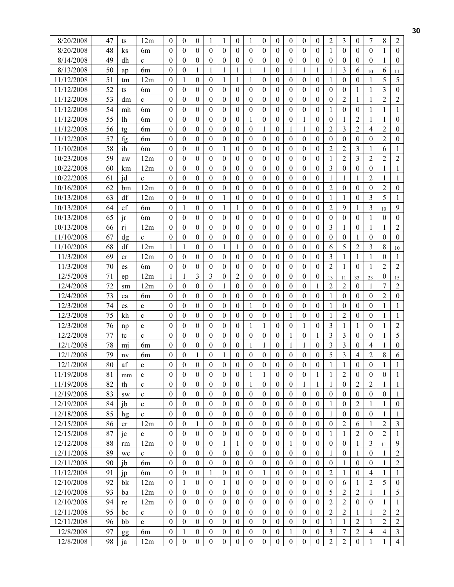| 8/20/2008                | 47       | ts        | 12m            | $\theta$                         | $\boldsymbol{0}$                 | $\mathbf{0}$                     | 1                                |                                | $\mathbf{0}$                       | 1                                | $\mathbf{0}$                     | $\boldsymbol{0}$                     | 0                            | $\mathbf{0}$                       | $\boldsymbol{0}$                 | $\overline{2}$       | 3                                  | 0                              | 7                              | 8                              | $\overline{2}$                 |
|--------------------------|----------|-----------|----------------|----------------------------------|----------------------------------|----------------------------------|----------------------------------|--------------------------------|------------------------------------|----------------------------------|----------------------------------|--------------------------------------|------------------------------|------------------------------------|----------------------------------|----------------------|------------------------------------|--------------------------------|--------------------------------|--------------------------------|--------------------------------|
| 8/20/2008                | 48       | $\rm ks$  | 6 <sub>m</sub> | $\mathbf{0}$                     | $\boldsymbol{0}$                 | $\theta$                         | $\boldsymbol{0}$                 | $\mathbf{0}$                   | $\mathbf{0}$                       | $\boldsymbol{0}$                 | $\mathbf{0}$                     | $\boldsymbol{0}$                     | $\mathbf{0}$                 | $\mathbf{0}$                       | $\boldsymbol{0}$                 | 1                    | $\boldsymbol{0}$                   | $\overline{0}$                 | $\theta$                       | 1                              | $\mathbf{0}$                   |
| 8/14/2008                | 49       | dh        | $\mathbf c$    | $\theta$                         | $\theta$                         | $\theta$                         | $\boldsymbol{0}$                 | $\theta$                       | $\theta$                           | $\theta$                         | $\theta$                         | $\boldsymbol{0}$                     | $\theta$                     | $\theta$                           | $\theta$                         | $\theta$             | $\theta$                           | $\theta$                       | $\theta$                       | 1                              | $\mathbf{0}$                   |
| 8/13/2008                | 50       | ap        | 6m             | $\boldsymbol{0}$                 | $\boldsymbol{0}$                 | 1                                | 1                                | 1                              | 1                                  | $\mathbf{1}$                     | 1                                | $\boldsymbol{0}$                     | 1                            | 1                                  | 1                                | 1                    | 3                                  | 6                              | 10                             | 6                              | 11                             |
| 11/12/2008               | 51       | tm        | 12m            | $\theta$                         | 1                                | $\theta$                         | $\boldsymbol{0}$                 | 1                              | 1                                  | 1                                | $\theta$                         | $\boldsymbol{0}$                     | 0                            | $\Omega$                           | $\theta$                         | 1                    | $\boldsymbol{0}$                   | 0                              | 1                              | 5                              | 5                              |
| 11/12/2008               | 52       | ts        | 6m             | $\boldsymbol{0}$                 | $\boldsymbol{0}$                 | $\theta$                         | 0                                | $\boldsymbol{0}$               | 0                                  | $\boldsymbol{0}$                 | $\theta$                         | $\boldsymbol{0}$                     | 0                            | 0                                  | $\mathbf{0}$                     | $\mathbf{0}$         | 0                                  | 1                              | 1                              | 3                              | $\boldsymbol{0}$               |
| 11/12/2008               | 53       | dm        | $\mathbf c$    | $\boldsymbol{0}$                 | $\mathbf{0}$                     | $\theta$                         | $\boldsymbol{0}$                 | $\boldsymbol{0}$               | $\mathbf{0}$                       | $\mathbf{0}$                     | $\theta$                         | $\boldsymbol{0}$                     | $\mathbf{0}$                 | $\mathbf{0}$                       | $\mathbf{0}$                     | $\theta$             | 2                                  | 1                              | 1                              | 2                              | $\overline{2}$                 |
| 11/12/2008               | 54       | mh        | 6m             | $\boldsymbol{0}$                 | $\boldsymbol{0}$                 | $\boldsymbol{0}$                 | $\boldsymbol{0}$                 | $\mathbf{0}$                   | $\boldsymbol{0}$                   | $\boldsymbol{0}$                 | $\boldsymbol{0}$                 | $\boldsymbol{0}$                     | $\mathbf{0}$                 | $\boldsymbol{0}$                   | $\boldsymbol{0}$                 | 1                    | $\boldsymbol{0}$                   | $\mathbf{0}$                   | 1                              | 1                              | 1                              |
| 11/12/2008               | 55       | lh        | 6 <sub>m</sub> | $\theta$                         | $\mathbf{0}$                     | $\theta$                         | $\theta$                         | $\theta$                       | $\theta$                           | 1                                | $\theta$                         | $\theta$                             | $\theta$                     | 1                                  | $\mathbf{0}$                     | $\theta$             | 1                                  | $\overline{2}$                 | 1                              | 1                              | $\mathbf{0}$                   |
| 11/12/2008               | 56       |           | 6m             | $\theta$                         | $\theta$                         | $\theta$                         | 0                                | 0                              | $\Omega$                           | $\boldsymbol{0}$                 | 1                                | $\boldsymbol{0}$                     | 1                            | 1                                  | $\theta$                         | $\overline{2}$       | 3                                  | 2                              | 4                              | $\overline{c}$                 | $\boldsymbol{0}$               |
| 11/12/2008               | 57       | tg<br>fg  | 6 <sub>m</sub> | $\theta$                         | $\theta$                         | $\theta$                         | $\theta$                         | $\Omega$                       | 0                                  | $\theta$                         | $\theta$                         | $\boldsymbol{0}$                     | $\theta$                     | 0                                  | $\theta$                         | $\theta$             | $\boldsymbol{0}$                   | $\theta$                       | $\mathbf{0}$                   | $\overline{c}$                 | $\boldsymbol{0}$               |
| 11/10/2008               | 58       | ih        | 6m             | $\theta$                         | $\theta$                         | $\theta$                         | $\boldsymbol{0}$                 | 1                              | $\boldsymbol{0}$                   | $\theta$                         | $\theta$                         | $\boldsymbol{0}$                     | $\theta$                     | $\boldsymbol{0}$                   | $\theta$                         | $\overline{2}$       | $\overline{2}$                     | 3                              | 1                              | 6                              | 1                              |
| 10/23/2008               | 59       | aw        | 12m            | $\boldsymbol{0}$                 | $\boldsymbol{0}$                 | $\boldsymbol{0}$                 | $\boldsymbol{0}$                 | $\boldsymbol{0}$               | $\boldsymbol{0}$                   | $\boldsymbol{0}$                 | $\boldsymbol{0}$                 | $\boldsymbol{0}$                     | $\boldsymbol{0}$             | $\boldsymbol{0}$                   | $\boldsymbol{0}$                 | 1                    | $\overline{2}$                     | 3                              | 2                              | $\overline{2}$                 | $\overline{2}$                 |
| 10/22/2008               | 60       | km        | 12m            | $\mathbf{0}$                     | $\mathbf{0}$                     | $\theta$                         | $\boldsymbol{0}$                 | $\mathbf{0}$                   | $\boldsymbol{0}$                   | $\mathbf{0}$                     | $\theta$                         | $\boldsymbol{0}$                     | $\overline{0}$               | $\boldsymbol{0}$                   | $\mathbf{0}$                     | $\overline{3}$       | $\boldsymbol{0}$                   | $\overline{0}$                 | $\boldsymbol{0}$               | 1                              | $\mathbf{1}$                   |
| 10/22/2008               | 61       | jd        | $\mathbf c$    | $\theta$                         | $\theta$                         | $\theta$                         | $\mathbf{0}$                     | $\boldsymbol{0}$               | $\Omega$                           | $\theta$                         | $\theta$                         | $\mathbf{0}$                         | 0                            | $\theta$                           | $\theta$                         | 1                    | 1                                  | 1                              | $\overline{2}$                 | 1                              | 1                              |
| 10/16/2008               | 62       | bm        | 12m            | $\theta$                         | $\boldsymbol{0}$                 | $\theta$                         | $\boldsymbol{0}$                 | $\boldsymbol{0}$               | 0                                  | $\boldsymbol{0}$                 | $\theta$                         | $\boldsymbol{0}$                     | $\boldsymbol{0}$             | $\mathbf{0}$                       | $\boldsymbol{0}$                 | $\overline{2}$       | $\boldsymbol{0}$                   | $\mathbf{0}$                   | 0                              | $\overline{c}$                 | $\boldsymbol{0}$               |
| 10/13/2008               | 63       | df        | 12m            | $\theta$                         | $\theta$                         | $\theta$                         | $\boldsymbol{0}$                 | 1                              | $\boldsymbol{0}$                   | $\boldsymbol{0}$                 | $\theta$                         | $\boldsymbol{0}$                     | $\boldsymbol{0}$             | $\boldsymbol{0}$                   | $\boldsymbol{0}$                 | 1                    | $\mathbf{1}$                       | $\boldsymbol{0}$               | 3                              | 5                              | $\mathbf{1}$                   |
| 10/13/2008               | 64       | ef        | 6 <sub>m</sub> | $\boldsymbol{0}$                 | 1                                | $\boldsymbol{0}$                 | $\boldsymbol{0}$                 | 1                              | 1                                  | $\boldsymbol{0}$                 | $\boldsymbol{0}$                 | $\boldsymbol{0}$                     | $\boldsymbol{0}$             | $\boldsymbol{0}$                   | $\boldsymbol{0}$                 | $\overline{2}$       | 9                                  | 1                              | 3                              |                                | 9                              |
| 10/13/2008               | 65       | ir        | 6m             | $\theta$                         | $\mathbf{0}$                     | $\theta$                         | $\mathbf{0}$                     | $\overline{0}$                 | $\mathbf{0}$                       | $\mathbf{0}$                     | $\theta$                         | $\boldsymbol{0}$                     | $\theta$                     | $\boldsymbol{0}$                   | $\boldsymbol{0}$                 | $\theta$             | $\boldsymbol{0}$                   | $\mathbf{0}$                   | 1                              | 10<br>$\mathbf{0}$             | $\boldsymbol{0}$               |
| 10/13/2008               | 66       | ri        | 12m            | $\Omega$                         | $\theta$                         | $\theta$                         | 0                                | $\Omega$                       | $\mathbf{0}$                       | $\theta$                         | $\theta$                         | $\boldsymbol{0}$                     | 0                            | $\mathbf{0}$                       | $\theta$                         | $\overline{3}$       | 1                                  | 0                              | 1                              | 1                              | $\overline{2}$                 |
| 11/10/2008               | 67       | dg        | $\mathbf c$    | $\boldsymbol{0}$                 | $\boldsymbol{0}$                 | $\theta$                         | $\boldsymbol{0}$                 | $\mathbf{0}$                   | $\boldsymbol{0}$                   | $\boldsymbol{0}$                 | $\theta$                         | $\boldsymbol{0}$                     | $\mathbf{0}$                 | $\boldsymbol{0}$                   | $\boldsymbol{0}$                 | $\theta$             | $\boldsymbol{0}$                   | 1                              | $\boldsymbol{0}$               | $\boldsymbol{0}$               | $\boldsymbol{0}$               |
| 11/10/2008               | 68       | df        | 12m            | 1                                | $\mathbf{1}$                     | $\theta$                         | $\boldsymbol{0}$                 | 1                              | 1                                  | $\theta$                         | $\theta$                         | $\boldsymbol{0}$                     | $\boldsymbol{0}$             | $\boldsymbol{0}$                   | $\boldsymbol{0}$                 | 6                    | 5                                  | $\overline{2}$                 | 3                              | 8                              |                                |
| 11/3/2008                | 69       |           | 12m            | $\boldsymbol{0}$                 | $\boldsymbol{0}$                 | $\theta$                         | $\boldsymbol{0}$                 | $\theta$                       | $\boldsymbol{0}$                   | $\theta$                         | $\theta$                         | $\boldsymbol{0}$                     | $\theta$                     | $\boldsymbol{0}$                   | $\theta$                         | $\overline{3}$       | 1                                  | 1                              | 1                              | $\theta$                       | 10<br>1                        |
| 11/3/2008                | 70       | cr        | 6m             | $\theta$                         | $\boldsymbol{0}$                 | $\theta$                         | $\boldsymbol{0}$                 | $\Omega$                       | $\theta$                           | $\boldsymbol{0}$                 | $\theta$                         | $\boldsymbol{0}$                     | 0                            | $\theta$                           | $\theta$                         | $\overline{2}$       | 1                                  | $\theta$                       | 1                              | $\overline{c}$                 | $\overline{2}$                 |
|                          | 71       | es        | 12m            | 1                                |                                  | 3                                | 3                                |                                | 2                                  | $\theta$                         | $\boldsymbol{0}$                 | $\boldsymbol{0}$                     |                              |                                    | $\boldsymbol{0}$                 |                      |                                    |                                |                                | $\boldsymbol{0}$               |                                |
| 12/5/2008                | 72       | ep        |                | $\mathbf{0}$                     | 1<br>$\mathbf{0}$                | $\mathbf{0}$                     | $\boldsymbol{0}$                 | $\boldsymbol{0}$               | $\mathbf{0}$                       | $\mathbf{0}$                     | $\mathbf{0}$                     | $\mathbf{0}$                         | 0<br>$\mathbf{0}$            | 0<br>$\mathbf{0}$                  |                                  | 13<br>$\overline{2}$ | 11                                 | 33<br>$\mathbf{0}$             | 23                             | 7                              | 15<br>$\overline{2}$           |
| 12/4/2008                |          | sm        | 12m            | $\boldsymbol{0}$                 |                                  | $\theta$                         |                                  | 1                              |                                    |                                  |                                  |                                      |                              |                                    | 1                                |                      | 2                                  |                                | 1                              |                                | $\boldsymbol{0}$               |
| 12/4/2008                | 73       | ca        | 6 <sub>m</sub> | $\theta$                         | $\boldsymbol{0}$<br>$\mathbf{0}$ | $\mathbf{0}$                     | $\boldsymbol{0}$<br>$\mathbf{0}$ | $\boldsymbol{0}$<br>$\theta$   | $\boldsymbol{0}$<br>$\theta$       | $\boldsymbol{0}$<br>$\mathbf{1}$ | $\boldsymbol{0}$<br>$\mathbf{0}$ | $\boldsymbol{0}$<br>$\mathbf{0}$     | $\boldsymbol{0}$<br>$\theta$ | $\boldsymbol{0}$                   | $\boldsymbol{0}$<br>$\mathbf{0}$ | 1                    | $\boldsymbol{0}$                   | $\boldsymbol{0}$<br>$\theta$   | $\boldsymbol{0}$               | $\overline{2}$<br>$\mathbf{1}$ | $\mathbf{1}$                   |
| 12/3/2008                | 74       | es        | $\mathbf c$    |                                  |                                  |                                  |                                  |                                |                                    |                                  |                                  |                                      |                              | $\boldsymbol{0}$                   |                                  | 1                    | $\boldsymbol{0}$                   |                                | $\boldsymbol{0}$               |                                |                                |
| 12/3/2008                | 75       | kh        | $\mathbf c$    | $\theta$                         | $\theta$                         | $\theta$                         | $\boldsymbol{0}$                 | $\Omega$                       | $\Omega$                           | $\theta$                         | $\theta$                         | $\boldsymbol{0}$                     | 1                            | $\Omega$                           | $\theta$                         | 1                    | $\overline{2}$                     | 0                              | $\Omega$                       | 1                              | 1                              |
| 12/3/2008                | 76       | np        | $\mathbf c$    | 0                                | $\boldsymbol{0}$                 | $\mathbf{0}$                     | $\boldsymbol{0}$                 | $\boldsymbol{0}$               | $\mathbf{0}$                       | 1                                | 1                                | $\boldsymbol{0}$                     | $\mathbf{0}$                 | 1                                  | $\boldsymbol{0}$                 | 3<br>$\overline{3}$  | 1                                  | 1                              | $\mathbf{0}$                   | 1                              | $\overline{2}$<br>5            |
| 12/2/2008                | 77       | tc        | $\mathbf c$    | $\mathbf{0}$                     | $\theta$                         | $\theta$                         | $\mathbf{0}$                     | $\theta$                       | $\mathbf{0}$                       | $\mathbf{0}$                     | $\theta$                         | $\mathbf{0}$                         | 1                            | $\mathbf{0}$                       | 1                                | $\overline{3}$       | 3                                  | $\overline{0}$                 | $\overline{0}$                 | 1                              | $\boldsymbol{0}$               |
| 12/1/2008                | 78<br>79 | m         | 6 <sub>m</sub> | $\boldsymbol{0}$                 | $\mathbf{0}$                     | $\boldsymbol{0}$<br>1            | $\mathbf{0}$                     | $\theta$                       | $\mathbf{0}$                       | 1<br>$\boldsymbol{0}$            | 1<br>$\theta$                    | $\mathbf{0}$                         | 1                            | 1                                  | $\mathbf{0}$                     | 5                    | 3<br>3                             | $\mathbf{0}$                   | 4                              | 1<br>8                         | 6                              |
| 12/1/2008                | 80       | nv        | 6 <sub>m</sub> | $\boldsymbol{0}$<br>$\Omega$     | $\boldsymbol{0}$<br>$\Omega$     | $\Omega$                         | $\boldsymbol{0}$                 | $\Omega$                       | $\boldsymbol{0}$<br>$\Omega$       | $\Omega$                         | $\Omega$                         | $\boldsymbol{0}$                     | $\boldsymbol{0}$<br>$\Omega$ | $\boldsymbol{0}$<br>$\Omega$       | $\boldsymbol{0}$<br>$\mathbf{0}$ | $\mathbf{1}$         | 1                                  | 4<br>$\theta$                  | $\overline{2}$<br>$\theta$     | 1                              | $\mathbf{1}$                   |
| 12/1/2008                |          | af        | $\mathbf c$    |                                  |                                  |                                  | $\theta$                         |                                |                                    |                                  |                                  | $\theta$                             |                              |                                    |                                  |                      |                                    |                                |                                |                                |                                |
| 11/19/2008<br>11/19/2008 | 81<br>82 | mm        | $\mathbf c$    | $\mathbf{0}$<br>$\boldsymbol{0}$ | $\mathbf{0}$<br>$\boldsymbol{0}$ | $\mathbf{0}$<br>$\boldsymbol{0}$ | $\mathbf{0}$<br>$\boldsymbol{0}$ | $\overline{0}$<br>$\mathbf{0}$ | $\mathbf{0}$<br>$\mathbf{0}$       | 1<br>$\mathbf{1}$                | 1<br>$\boldsymbol{0}$            | $\mathbf{0}$<br>$\boldsymbol{0}$     | $\mathbf{0}$<br>$\mathbf{0}$ | $\boldsymbol{0}$<br>$\mathbf{1}$   | 1<br>1                           | 1<br>$\mathbf{1}$    | $\overline{2}$<br>$\boldsymbol{0}$ | $\mathbf{0}$<br>$\overline{2}$ | $\mathbf{0}$<br>$\overline{2}$ | $\mathbf{0}$<br>1              | 1<br>$\mathbf{1}$              |
|                          |          | th        | $\mathbf c$    |                                  |                                  |                                  |                                  |                                |                                    |                                  |                                  |                                      |                              |                                    |                                  |                      |                                    |                                |                                |                                |                                |
| 12/19/2008               | 83       | <b>SW</b> | $\mathbf c$    | $\mathbf{0}$                     | $\boldsymbol{0}$                 | $\boldsymbol{0}$                 | $\boldsymbol{0}$                 | $\mathbf{0}$                   | $\mathbf{0}$                       | $\boldsymbol{0}$                 | $\mathbf{0}$                     | $\boldsymbol{0}$                     | $\mathbf{0}$                 | $\boldsymbol{0}$                   | $\mathbf{0}$                     | $\mathbf{0}$         | $\boldsymbol{0}$                   | $\boldsymbol{0}$               | $\mathbf{0}$                   | $\mathbf{0}$                   | 1                              |
| 12/19/2008               | 84<br>85 | jb        | $\mathbf c$    | $\mathbf{0}$<br>$\boldsymbol{0}$ | $\mathbf{0}$<br>$\mathbf{0}$     | $\boldsymbol{0}$<br>$\mathbf{0}$ | $\boldsymbol{0}$                 | $\overline{0}$                 | $\boldsymbol{0}$<br>$\overline{0}$ | $\mathbf{0}$<br>$\mathbf{0}$     | $\boldsymbol{0}$<br>$\mathbf{0}$ | $\boldsymbol{0}$                     | $\mathbf{0}$                 | $\boldsymbol{0}$<br>$\overline{0}$ | $\mathbf{0}$<br>$\mathbf{0}$     | 1<br>1               | $\boldsymbol{0}$                   | 2                              | 1<br>$\overline{0}$            | 1<br>1                         | $\boldsymbol{0}$               |
| 12/18/2008               |          | hg        | $\mathbf c$    |                                  |                                  |                                  | $\boldsymbol{0}$                 | $\boldsymbol{0}$               |                                    |                                  |                                  | $\boldsymbol{0}$                     | $\boldsymbol{0}$             |                                    |                                  |                      | $\boldsymbol{0}$<br>$\overline{2}$ | $\boldsymbol{0}$               |                                |                                | $\mathbf{1}$<br>$\mathfrak{Z}$ |
| 12/15/2008               | 86       | er        | 12m            | $\mathbf{0}$<br>$\boldsymbol{0}$ | $\boldsymbol{0}$                 | 1                                | $\boldsymbol{0}$                 | $\overline{0}$                 | $\overline{0}$                     | $\boldsymbol{0}$                 | $\mathbf{0}$                     | $\boldsymbol{0}$<br>$\boldsymbol{0}$ | $\overline{0}$               | $\overline{0}$                     | $\boldsymbol{0}$                 | $\mathbf{0}$         |                                    | 6                              | 1                              | 2                              |                                |
| 12/15/2008               | 87       | jc        | $\mathbf{c}$   |                                  | $\boldsymbol{0}$                 | $\boldsymbol{0}$                 | $\mathbf{0}$<br>$\boldsymbol{0}$ | $\boldsymbol{0}$               | $\mathbf{0}$                       | $\boldsymbol{0}$                 | $\boldsymbol{0}$                 | $\boldsymbol{0}$                     | $\boldsymbol{0}$             | $\mathbf{0}$                       | $\boldsymbol{0}$                 | $\mathbf{1}$         | $\mathbf{1}$<br>$\boldsymbol{0}$   | $\overline{2}$                 | $\mathbf{0}$                   | $\overline{2}$                 | $\mathbf{1}$                   |
| 12/12/2008               | 88       | rm        | 12m            | $\boldsymbol{0}$                 | $\boldsymbol{0}$                 | $\boldsymbol{0}$                 |                                  | 1                              | 1                                  | $\boldsymbol{0}$                 | $\boldsymbol{0}$                 |                                      | 1                            | $\boldsymbol{0}$                   | $\boldsymbol{0}$                 | $\boldsymbol{0}$     |                                    | 1                              | 3                              | 11                             | 9                              |
| 12/11/2008               | 89       | wc        | $\mathbf c$    | $\theta$                         | $\theta$                         | $\theta$                         | $\overline{0}$                   | $\overline{0}$                 | $\overline{0}$                     | $\theta$                         | $\theta$                         | $\overline{0}$                       | $\overline{0}$               | $\overline{0}$                     | $\mathbf{0}$                     | 1                    | $\overline{0}$                     | 1                              | $\mathbf{0}$                   | 1                              | $\overline{c}$                 |
| 12/11/2008               | 90       | jb        | 6m             | $\boldsymbol{0}$                 | $\mathbf{0}$                     | $\mathbf{0}$                     | $\boldsymbol{0}$                 | $\overline{0}$                 | $\boldsymbol{0}$                   | $\mathbf{0}$                     | $\mathbf{0}$                     | $\boldsymbol{0}$                     | $\overline{0}$               | $\boldsymbol{0}$                   | $\mathbf{0}$                     | $\mathbf{0}$         | 1                                  | $\boldsymbol{0}$               | $\boldsymbol{0}$               | 1                              | $\sqrt{2}$                     |
| 11/12/2008               | 91       | jp        | 6m             | $\boldsymbol{0}$                 | $\boldsymbol{0}$                 | $\mathbf{0}$                     | $\mathbf{1}$                     | $\boldsymbol{0}$               | $\boldsymbol{0}$                   | $\boldsymbol{0}$                 | $\mathbf{1}$                     | $\boldsymbol{0}$                     | $\bf{0}$                     | $\boldsymbol{0}$                   | $\boldsymbol{0}$                 | $\overline{2}$       | 1                                  | $\boldsymbol{0}$               | 4                              | 1                              | $\mathbf{1}$                   |
| 12/10/2008               | 92       | bk        | 12m            | $\mathbf{0}$                     | $\mathbf{1}$                     | $\boldsymbol{0}$                 | $\boldsymbol{0}$                 | 1                              | $\boldsymbol{0}$                   | $\boldsymbol{0}$                 | $\boldsymbol{0}$                 | $\boldsymbol{0}$                     | $\mathbf{0}$                 | $\boldsymbol{0}$                   | $\boldsymbol{0}$                 | $\boldsymbol{0}$     | 6                                  | 1                              | $\overline{2}$                 | 5                              | $\boldsymbol{0}$               |
| 12/10/2008               | 93       | ba        | 12m            | $\boldsymbol{0}$                 | $\boldsymbol{0}$                 | $\theta$                         | $\boldsymbol{0}$                 | $\boldsymbol{0}$               | $\mathbf{0}$                       | $\boldsymbol{0}$                 | $\theta$                         | $\boldsymbol{0}$                     | $\boldsymbol{0}$             | $\boldsymbol{0}$                   | $\boldsymbol{0}$                 | 5                    | $\overline{2}$                     | $\overline{2}$                 | 1                              | $\mathbf{1}$                   | 5                              |
| 12/10/2008               | 94       | re        | 12m            | $\theta$                         | $\boldsymbol{0}$                 | $\theta$                         | $\mathbf{0}$                     | $\overline{0}$                 | $\mathbf{0}$                       | $\boldsymbol{0}$                 | $\theta$                         | $\mathbf{0}$                         | $\overline{0}$               | $\overline{0}$                     | $\boldsymbol{0}$                 | $\overline{2}$       | $\overline{2}$                     | $\overline{0}$                 | $\mathbf{0}$                   | 1                              | $\mathbf{1}$                   |
| 12/11/2008               | 95       | bc        | $\mathbf c$    | $\boldsymbol{0}$                 | $\mathbf{0}$                     | $\mathbf{0}$                     | $\boldsymbol{0}$                 | $\overline{0}$                 | $\mathbf{0}$                       | $\mathbf{0}$                     | $\mathbf{0}$                     | $\boldsymbol{0}$                     | $\overline{0}$               | $\mathbf{0}$                       | $\mathbf{0}$                     | $\overline{2}$       | $\overline{2}$                     | 1                              | 1                              | 2                              | $\overline{2}$                 |
| 12/11/2008               | 96       | bb        | $\mathbf c$    | $\boldsymbol{0}$                 | $\mathbf{0}$                     | $\mathbf{0}$                     | $\boldsymbol{0}$                 | $\overline{0}$                 | $\boldsymbol{0}$                   | $\mathbf{0}$                     | $\mathbf{0}$                     | $\boldsymbol{0}$                     | $\overline{0}$               | $\boldsymbol{0}$                   | $\boldsymbol{0}$                 | 1                    | 1                                  | 2                              | 1                              | 2                              | $\sqrt{2}$                     |
| 12/8/2008                | 97       | gg        | 6m             | $\boldsymbol{0}$                 | 1                                | $\boldsymbol{0}$                 | $\boldsymbol{0}$                 | $\boldsymbol{0}$               | $\boldsymbol{0}$                   | $\boldsymbol{0}$                 | $\mathbf{0}$                     | $\boldsymbol{0}$                     | 1                            | $\boldsymbol{0}$                   | $\boldsymbol{0}$                 | $\mathfrak{Z}$       | $\boldsymbol{7}$                   | $\overline{2}$                 | 4                              | 4                              | $\mathfrak{Z}$                 |
| 12/8/2008                | 98       | ja        | 12m            | $\boldsymbol{0}$                 | $\boldsymbol{0}$                 | $\boldsymbol{0}$                 | $\boldsymbol{0}$                 | $\boldsymbol{0}$               | $\boldsymbol{0}$                   | $\boldsymbol{0}$                 | $\boldsymbol{0}$                 | $\boldsymbol{0}$                     | $\boldsymbol{0}$             | $\boldsymbol{0}$                   | $\boldsymbol{0}$                 | $\overline{2}$       | $\overline{2}$                     | $\boldsymbol{0}$               | $\mathbf{1}$                   | $\,1\,$                        | $\overline{4}$                 |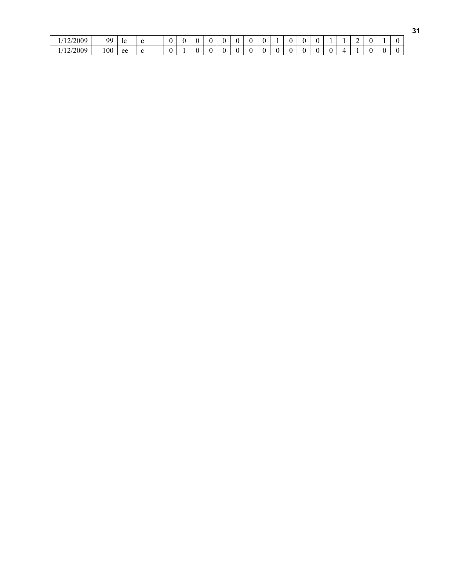| /12/2009 | 99  | 1C                        | r | $\sim$ |  |  |  |  |  | 0 |  | ∸ |  |  |
|----------|-----|---------------------------|---|--------|--|--|--|--|--|---|--|---|--|--|
| /12/2009 | 100 | $\Delta \mathcal{Q}$<br>่ | r | $\sim$ |  |  |  |  |  | 0 |  |   |  |  |